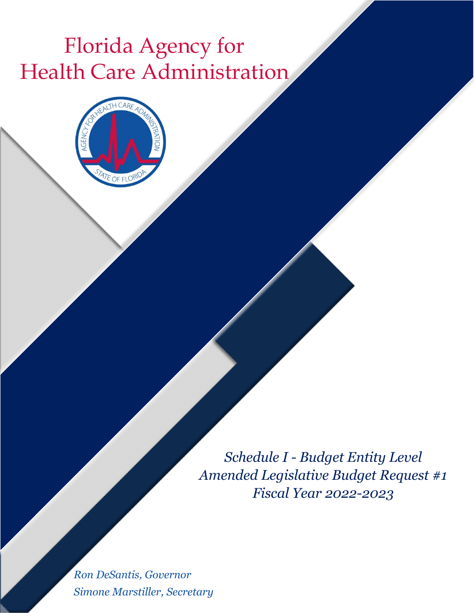## Florida Agency for Health Care Administration



*Schedule I - Budget Entity Level Amended Legislative Budget Request #1 Fiscal Year 2022-2023*

*Ron DeSantis, Governor Simone Marstiller, Secretary*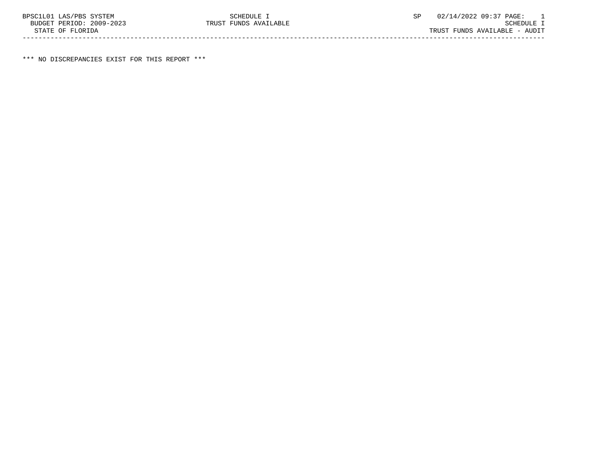\*\*\* NO DISCREPANCIES EXIST FOR THIS REPORT \*\*\*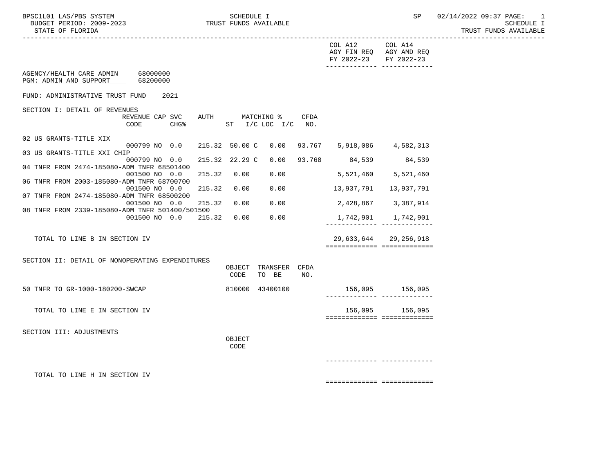----------------------------------------------------------------------------------------------------------------------------------- COL A12 COL A14 AGY FIN REQ AGY AMD REQ FY 2022-23 FY 2022-23 ------------- ------------- AGENCY/HEALTH CARE ADMIN 68000000 PGM: ADMIN AND SUPPORT 68200000 FUND: ADMINISTRATIVE TRUST FUND 2021 SECTION I: DETAIL OF REVENUES<br>REVENUE CAP SVC REVENUE CAP SVC AUTH MATCHING \$ CFDA<br>CODE CHG% ST I/C LOC I/C NO.  $ST$  I/C LOC I/C NO. 02 US GRANTS-TITLE XIX 000799 NO 0.0 215.32 50.00 C 0.00 93.767 5,918,086 4,582,313 03 US GRANTS-TITLE XXI CHIP 000799 NO 0.0 215.32 22.29 C 0.00 93.768 84,539 84,539 04 TNFR FROM 2474-185080-ADM TNFR 68501400 001500 NO 0.0 215.32 0.00 0.00 5,521,460 5,521,460 06 TNFR FROM 2003-185080-ADM TNFR 68700700 001500 NO 0.0 215.32 0.00 0.00 13,937,791 13,937,791 07 TNFR FROM 2474-185080-ADM TNFR 68500200 001500 NO 0.0 215.32 0.00 0.00 2,428,867 3,387,914 08 TNFR FROM 2339-185080-ADM TNFR 501400/501500 001500 NO 0.0 215.32 0.00 0.00 1,742,901 1,742,901 ------------- ------------- TOTAL TO LINE B IN SECTION IV 29,633,644 29,256,918 ============= ============= SECTION II: DETAIL OF NONOPERATING EXPENDITURES OBJECT TRANSFER CFDA CODE TO BE NO. 50 TNFR TO GR-1000-180200-SWCAP 810000 43400100 156,095 156,095 ------------- ------------- TOTAL TO LINE E IN SECTION IV 156,095 156,095 ============= ============= SECTION III: ADJUSTMENTS **OBJECT CODE**  ------------- ------------- TOTAL TO LINE H IN SECTION IV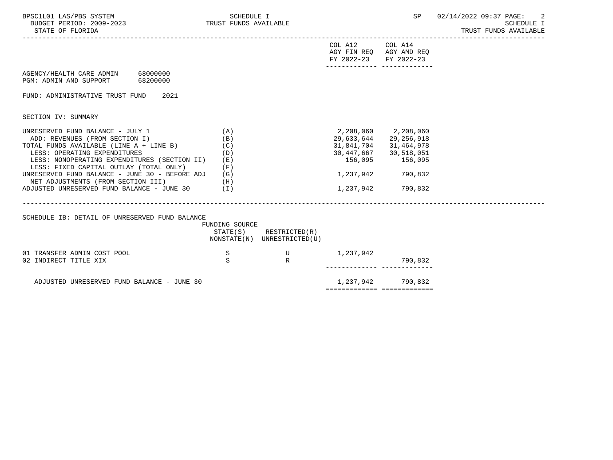| BPSC1L01 LAS/PBS SYSTEM<br>BUDGET PERIOD: 2009-2023 TRUST FUNDS AVAILABLE<br>STATE OF FLORIDA                                                                                                                                                                                                                                                                                      | SCHEDULE I                                           |                                              |                                   | SP                                                                                                                                  | 02/14/2022 09:37 PAGE:<br><b>SCHEDULE I</b><br>TRUST FUNDS AVAILABLE |
|------------------------------------------------------------------------------------------------------------------------------------------------------------------------------------------------------------------------------------------------------------------------------------------------------------------------------------------------------------------------------------|------------------------------------------------------|----------------------------------------------|-----------------------------------|-------------------------------------------------------------------------------------------------------------------------------------|----------------------------------------------------------------------|
|                                                                                                                                                                                                                                                                                                                                                                                    |                                                      |                                              | COL A12<br>FY 2022-23             | COL A14<br>AGY FIN REQ AGY AMD REQ<br>FY 2022-23                                                                                    |                                                                      |
| AGENCY/HEALTH CARE ADMIN 68000000<br>68200000<br>PGM: ADMIN AND SUPPORT                                                                                                                                                                                                                                                                                                            |                                                      |                                              |                                   |                                                                                                                                     |                                                                      |
| 2021<br>FUND: ADMINISTRATIVE TRUST FUND                                                                                                                                                                                                                                                                                                                                            |                                                      |                                              |                                   |                                                                                                                                     |                                                                      |
| SECTION IV: SUMMARY                                                                                                                                                                                                                                                                                                                                                                |                                                      |                                              |                                   |                                                                                                                                     |                                                                      |
| UNRESERVED FUND BALANCE - JULY 1<br>ADD: REVENUES (FROM SECTION I)<br>TOTAL FUNDS AVAILABLE (LINE A + LINE B)<br>LESS: OPERATING EXPENDITURES<br>LESS: NONOPERATING EXPENDITURES (SECTION II)<br>LESS: FIXED CAPITAL OUTLAY (TOTAL ONLY)<br>UNRESERVED FUND BALANCE - JUNE 30 - BEFORE ADJ<br>NET ADJUSTMENTS (FROM SECTION III)<br>ADJUSTED UNRESERVED FUND BALANCE - JUNE 30 (I) | (A)<br>(B)<br>(C)<br>(D)<br>(E)<br>(F)<br>(G)<br>(H) |                                              | 156,095<br>1,237,942<br>1,237,942 | 2,208,060 2,208,060<br>29,633,644 29,256,918<br>31,841,704 31,464,978<br>30, 447, 667 30, 518, 051<br>156,095<br>790,832<br>790,832 |                                                                      |
|                                                                                                                                                                                                                                                                                                                                                                                    |                                                      |                                              |                                   |                                                                                                                                     |                                                                      |
| SCHEDULE IB: DETAIL OF UNRESERVED FUND BALANCE                                                                                                                                                                                                                                                                                                                                     | FUNDING SOURCE<br>STATE(S)                           | RESTRICTED(R)<br>NONSTATE(N) UNRESTRICTED(U) |                                   |                                                                                                                                     |                                                                      |
| 01 TRANSFER ADMIN COST POOL<br>02 INDIRECT TITLE XIX                                                                                                                                                                                                                                                                                                                               | S<br>S                                               | $\overline{U}$<br>R                          | 1,237,942                         | 790,832                                                                                                                             |                                                                      |
| ADJUSTED UNRESERVED FUND BALANCE - JUNE 30                                                                                                                                                                                                                                                                                                                                         |                                                      |                                              | ===========================       | 1,237,942 790,832                                                                                                                   |                                                                      |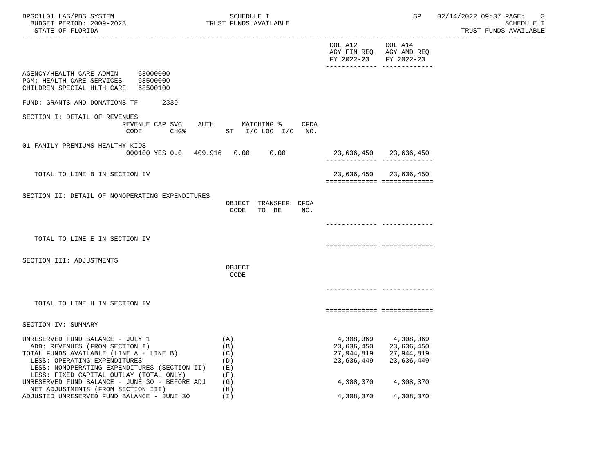| BPSC1L01 LAS/PBS SYSTEM<br>BUDGET PERIOD: 2009-2023<br>STATE OF FLORIDA                                                                                                                                                                  | SCHEDULE I<br>TRUST FUNDS AVAILABLE           |                                                     | SP                                                       | 02/14/2022 09:37 PAGE:<br>-3<br>SCHEDULE I<br>TRUST FUNDS AVAILABLE |
|------------------------------------------------------------------------------------------------------------------------------------------------------------------------------------------------------------------------------------------|-----------------------------------------------|-----------------------------------------------------|----------------------------------------------------------|---------------------------------------------------------------------|
|                                                                                                                                                                                                                                          |                                               | COL A12 COL A14<br>FY 2022-23 FY 2022-23            | AGY FIN REQ AGY AMD REQ<br>-------------- -------------- |                                                                     |
| AGENCY/HEALTH CARE ADMIN 68000000<br>PGM: HEALTH CARE SERVICES 68500000<br>CHILDREN SPECIAL HLTH CARE 68500100                                                                                                                           |                                               |                                                     |                                                          |                                                                     |
| FUND: GRANTS AND DONATIONS TF<br>2339                                                                                                                                                                                                    |                                               |                                                     |                                                          |                                                                     |
| SECTION I: DETAIL OF REVENUES<br>REVENUE CAP SVC<br>CODE<br>CHG%                                                                                                                                                                         | AUTH MATCHING %<br>CFDA<br>ST I/C LOC I/C NO. |                                                     |                                                          |                                                                     |
| 01 FAMILY PREMIUMS HEALTHY KIDS<br>000100 YES 0.0 409.916 0.00 0.00                                                                                                                                                                      |                                               | 23,636,450 23,636,450                               | -------------- --------------                            |                                                                     |
| TOTAL TO LINE B IN SECTION IV                                                                                                                                                                                                            |                                               | ===========================                         | 23,636,450 23,636,450                                    |                                                                     |
| SECTION II: DETAIL OF NONOPERATING EXPENDITURES                                                                                                                                                                                          | OBJECT TRANSFER CFDA<br>TO BE<br>CODE<br>NO.  |                                                     |                                                          |                                                                     |
| TOTAL TO LINE E IN SECTION IV                                                                                                                                                                                                            |                                               |                                                     |                                                          |                                                                     |
|                                                                                                                                                                                                                                          |                                               | ===========================                         |                                                          |                                                                     |
| SECTION III: ADJUSTMENTS                                                                                                                                                                                                                 | OBJECT<br>CODE                                |                                                     |                                                          |                                                                     |
|                                                                                                                                                                                                                                          |                                               |                                                     |                                                          |                                                                     |
| TOTAL TO LINE H IN SECTION IV                                                                                                                                                                                                            |                                               |                                                     |                                                          |                                                                     |
| SECTION IV: SUMMARY                                                                                                                                                                                                                      |                                               |                                                     |                                                          |                                                                     |
| UNRESERVED FUND BALANCE - JULY 1<br>ADD: REVENUES (FROM SECTION I)<br>TOTAL FUNDS AVAILABLE (LINE A + LINE B)<br>LESS: OPERATING EXPENDITURES<br>LESS: NONOPERATING EXPENDITURES (SECTION II)<br>LESS: FIXED CAPITAL OUTLAY (TOTAL ONLY) | (A)<br>(B)<br>(C)<br>(D)<br>(E)<br>(F)        | 4,308,369<br>23,636,450<br>27,944,819<br>23,636,449 | 4,308,369<br>23,636,450<br>27,944,819<br>23,636,449      |                                                                     |
| UNRESERVED FUND BALANCE - JUNE 30 - BEFORE ADJ<br>NET ADJUSTMENTS (FROM SECTION III)                                                                                                                                                     | (G)<br>(H)                                    | 4,308,370                                           | 4,308,370                                                |                                                                     |
| ADJUSTED UNRESERVED FUND BALANCE - JUNE 30                                                                                                                                                                                               | $(\top)$                                      | 4,308,370                                           | 4,308,370                                                |                                                                     |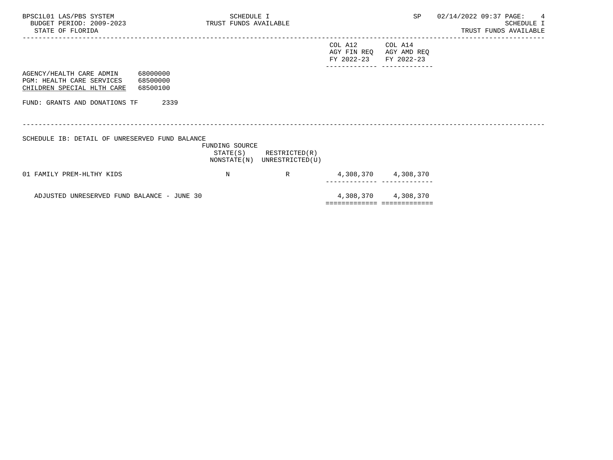| BPSC1L01 LAS/PBS SYSTEM<br>BUDGET PERIOD: 2009-2023 TRUST FUNDS AVAILABLE<br>STATE OF FLORIDA                        | SCHEDULE I     |                                                            |                                                             |                     | SP 02/14/2022 09:37 PAGE: 4 | SCHEDULE I<br>TRUST FUNDS AVAILABLE |
|----------------------------------------------------------------------------------------------------------------------|----------------|------------------------------------------------------------|-------------------------------------------------------------|---------------------|-----------------------------|-------------------------------------|
|                                                                                                                      |                |                                                            | COL A12<br>AGY FIN REQ AGY AMD REQ<br>FY 2022-23 FY 2022-23 | COL A14             |                             |                                     |
| AGENCY/HEALTH CARE ADMIN 68000000<br>PGM: HEALTH CARE SERVICES<br>68500000<br>CHILDREN SPECIAL HLTH CARE<br>68500100 |                |                                                            |                                                             |                     |                             |                                     |
| FUND: GRANTS AND DONATIONS TF<br>2339                                                                                |                |                                                            |                                                             |                     |                             |                                     |
| SCHEDULE IB: DETAIL OF UNRESERVED FUND BALANCE                                                                       | FUNDING SOURCE | $STATE(S)$ RESTRICTED $(R)$<br>NONSTATE(N) UNRESTRICTED(U) |                                                             |                     |                             |                                     |
| 01 FAMILY PREM-HLTHY KIDS                                                                                            | $_{\rm N}$     | $R \sim 1$                                                 |                                                             | 4,308,370 4,308,370 |                             |                                     |
| ADJUSTED UNRESERVED FUND BALANCE - JUNE 30                                                                           |                |                                                            | ==========================                                  | 4,308,370 4,308,370 |                             |                                     |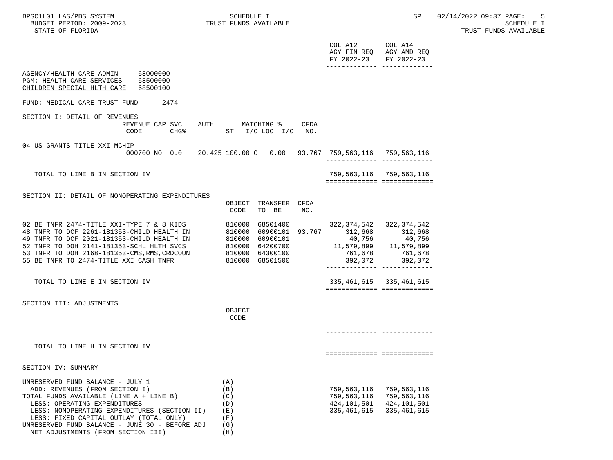| BUDGET PERIOD: 2009-2023<br>STATE OF FLORIDA                                                                                                                                                                                                                                               | TRUST FUNDS AVAILABLE                                                                                                   |                                                                                        |                                                             | SCHEDULE I<br>TRUST FUNDS AVAILABLE |
|--------------------------------------------------------------------------------------------------------------------------------------------------------------------------------------------------------------------------------------------------------------------------------------------|-------------------------------------------------------------------------------------------------------------------------|----------------------------------------------------------------------------------------|-------------------------------------------------------------|-------------------------------------|
|                                                                                                                                                                                                                                                                                            |                                                                                                                         | COL A12<br>FY 2022-23                                                                  | COL A14<br>AGY FIN REQ AGY AMD REQ<br>FY 2022-23            |                                     |
| 68000000<br>AGENCY/HEALTH CARE ADMIN<br>PGM: HEALTH CARE SERVICES<br>68500000<br>CHILDREN SPECIAL HLTH CARE<br>68500100                                                                                                                                                                    |                                                                                                                         |                                                                                        |                                                             |                                     |
| FUND: MEDICAL CARE TRUST FUND<br>2474                                                                                                                                                                                                                                                      |                                                                                                                         |                                                                                        |                                                             |                                     |
| SECTION I: DETAIL OF REVENUES<br>REVENUE CAP SVC AUTH MATCHING %<br>CHG <sup>8</sup><br>CODE                                                                                                                                                                                               | CFDA<br>$ST$ $I/C$ $LOC$ $I/C$ $NO$ .                                                                                   |                                                                                        |                                                             |                                     |
| 04 US GRANTS-TITLE XXI-MCHIP                                                                                                                                                                                                                                                               | 000700 NO 0.0 20.425 100.00 C 0.00 93.767 759,563,116 759,563,116                                                       |                                                                                        |                                                             |                                     |
| TOTAL TO LINE B IN SECTION IV                                                                                                                                                                                                                                                              |                                                                                                                         | 759,563,116 759,563,116                                                                | ============================                                |                                     |
| SECTION II: DETAIL OF NONOPERATING EXPENDITURES                                                                                                                                                                                                                                            |                                                                                                                         |                                                                                        |                                                             |                                     |
|                                                                                                                                                                                                                                                                                            | TRANSFER CFDA<br>OBJECT<br>TO BE<br>CODE<br>NO.                                                                         |                                                                                        |                                                             |                                     |
| 02 BE TNFR 2474-TITLE XXI-TYPE 7 & 8 KIDS 810000<br>48 TNFR TO DCF 2261-181353-CHILD HEALTH IN 810000<br>49 TNFR TO DCF 2021-181353-CHILD HEALTH IN<br>52 TNFR TO DOH 2141-181353-SCHL HLTH SVCS<br>53 TNFR TO DOH 2168-181353-CMS, RMS, CRDCOUN<br>55 BE TNFR TO 2474-TITLE XXI CASH TNFR | 68501400<br>60900101 93.767 312,668 312,668<br>810000 60900101<br>810000 64200700<br>810000 64300100<br>810000 68501500 | 322, 374, 542 322, 374, 542<br>$11,579,899$ $11,579,899$<br>761,678 761,678<br>392,072 | 40,756 40,756<br>392,072<br>-------------- -------------    |                                     |
| TOTAL TO LINE E IN SECTION IV                                                                                                                                                                                                                                                              |                                                                                                                         |                                                                                        | 335, 461, 615 335, 461, 615<br>============================ |                                     |
| SECTION III: ADJUSTMENTS                                                                                                                                                                                                                                                                   | OBJECT<br>CODE                                                                                                          |                                                                                        |                                                             |                                     |
| TOTAL TO LINE H IN SECTION IV                                                                                                                                                                                                                                                              |                                                                                                                         |                                                                                        | ===========================                                 |                                     |
| SECTION IV: SUMMARY                                                                                                                                                                                                                                                                        |                                                                                                                         |                                                                                        |                                                             |                                     |
| UNRESERVED FUND BALANCE - JULY 1<br>ADD: REVENUES (FROM SECTION I)<br>TOTAL FUNDS AVAILABLE (LINE A + LINE B)<br>LESS: OPERATING EXPENDITURES<br>LESS: NONOPERATING EXPENDITURES (SECTION II)<br>LESS: FIXED CAPITAL OUTLAY (TOTAL ONLY)<br>UNRESERVED FUND BALANCE - JUNE 30 - BEFORE ADJ | (A)<br>(B)<br>(C)<br>(D)<br>(E)<br>(F)<br>(G)                                                                           | 759,563,116<br>759,563,116<br>424,101,501<br>335,461,615                               | 759,563,116<br>759,563,116<br>424,101,501<br>335,461,615    |                                     |

NET ADJUSTMENTS (FROM SECTION III) (H)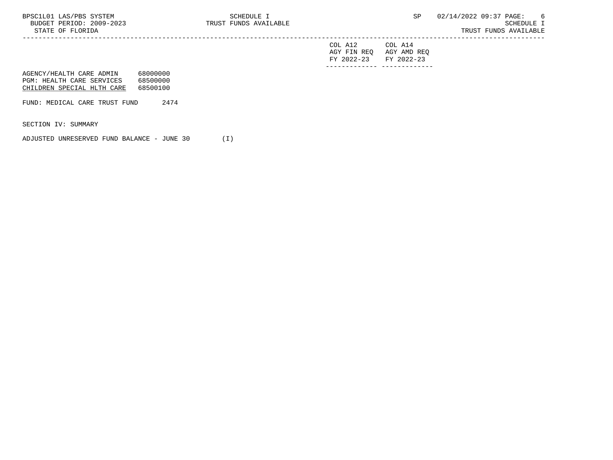|        | - 11197 - 121 - 121 - 121 - 121 - 122 - 122 - 122 - 122 - 122 - 122 - 122 - 122 - 122 - 122 - 122 - 1 |           |       |         | ັ້ | the IC-communication of the set of the set of the set of the set of the set of the set of the set of the set o<br><u>ັບ 21 / </u> |       |                           | . . |
|--------|-------------------------------------------------------------------------------------------------------|-----------|-------|---------|----|-----------------------------------------------------------------------------------------------------------------------------------|-------|---------------------------|-----|
| BUDGET | PERIOD:                                                                                               | 2009-2023 | TRUS1 | ^ \ / Д |    |                                                                                                                                   |       |                           |     |
| RTATR  | ".ORIDA<br>へせ                                                                                         |           |       |         |    | TRUS                                                                                                                              | 'INDS | .AR1<br>$\wedge$ $\wedge$ |     |
|        |                                                                                                       |           |       |         |    |                                                                                                                                   |       |                           |     |

| FY 2022-23 FY 2022-23 |                         |
|-----------------------|-------------------------|
|                       | AGY FIN REQ AGY AMD REQ |
| COL A12               | COL A14                 |

| AGENCY/HEALTH CARE ADMIN   | 68000000 |
|----------------------------|----------|
| PGM: HEALTH CARE SERVICES  | 68500000 |
| CHILDREN SPECIAL HLTH CARE | 68500100 |

FUND: MEDICAL CARE TRUST FUND 2474

SECTION IV: SUMMARY

ADJUSTED UNRESERVED FUND BALANCE - JUNE 30 (I)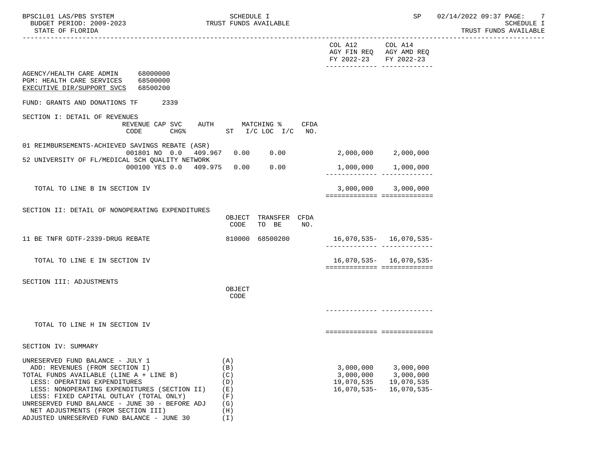| BUDGET PERIOD: 2009-2023<br>STATE OF FLORIDA                                                                                                                                                                                                                                                                                                                                   | TRUST FUNDS AVAILABLE                                            |                                                       |                                                                    | <b>SCHEDULE I</b><br>TRUST FUNDS AVAILABLE |
|--------------------------------------------------------------------------------------------------------------------------------------------------------------------------------------------------------------------------------------------------------------------------------------------------------------------------------------------------------------------------------|------------------------------------------------------------------|-------------------------------------------------------|--------------------------------------------------------------------|--------------------------------------------|
|                                                                                                                                                                                                                                                                                                                                                                                |                                                                  | COL A12<br>FY 2022-23 FY 2022-23                      | COL A14<br>AGY FIN REQ AGY AMD REQ<br>------------- -------------- |                                            |
| AGENCY/HEALTH CARE ADMIN 68000000<br>PGM: HEALTH CARE SERVICES 68500000<br>EXECUTIVE DIR/SUPPORT SVCS 68500200                                                                                                                                                                                                                                                                 |                                                                  |                                                       |                                                                    |                                            |
| FUND: GRANTS AND DONATIONS TF<br>2339                                                                                                                                                                                                                                                                                                                                          |                                                                  |                                                       |                                                                    |                                            |
| SECTION I: DETAIL OF REVENUES<br>REVENUE CAP SVC<br>CHG <sup>8</sup><br>CODE                                                                                                                                                                                                                                                                                                   | AUTH MATCHING %<br>CFDA<br>ST I/C LOC I/C NO.                    |                                                       |                                                                    |                                            |
| 01 REIMBURSEMENTS-ACHIEVED SAVINGS REBATE (ASR)<br>001801 NO 0.0 409.967 0.00<br>52 UNIVERSITY OF FL/MEDICAL SCH QUALITY NETWORK                                                                                                                                                                                                                                               | 0.00                                                             |                                                       | 2,000,000 2,000,000                                                |                                            |
| 000100 YES 0.0 409.975                                                                                                                                                                                                                                                                                                                                                         | 0.00<br>0.00                                                     | 1,000,000                                             | 1,000,000                                                          |                                            |
| TOTAL TO LINE B IN SECTION IV                                                                                                                                                                                                                                                                                                                                                  |                                                                  |                                                       | 3,000,000 3,000,000<br>===========================                 |                                            |
| SECTION II: DETAIL OF NONOPERATING EXPENDITURES                                                                                                                                                                                                                                                                                                                                | OBJECT TRANSFER CFDA<br>CODE<br>TO BE<br>NO.                     |                                                       |                                                                    |                                            |
| 11 BE TNFR GDTF-2339-DRUG REBATE                                                                                                                                                                                                                                                                                                                                               | 810000 68500200                                                  |                                                       | 16,070,535- 16,070,535-                                            |                                            |
| TOTAL TO LINE E IN SECTION IV                                                                                                                                                                                                                                                                                                                                                  |                                                                  |                                                       | $16,070,535 - 16,070,535 -$<br>===========================         |                                            |
| SECTION III: ADJUSTMENTS                                                                                                                                                                                                                                                                                                                                                       | OBJECT<br>CODE                                                   |                                                       |                                                                    |                                            |
| TOTAL TO LINE H IN SECTION IV                                                                                                                                                                                                                                                                                                                                                  |                                                                  |                                                       | ============================                                       |                                            |
| SECTION IV: SUMMARY                                                                                                                                                                                                                                                                                                                                                            |                                                                  |                                                       |                                                                    |                                            |
| UNRESERVED FUND BALANCE - JULY 1<br>ADD: REVENUES (FROM SECTION I)<br>TOTAL FUNDS AVAILABLE (LINE A + LINE B)<br>LESS: OPERATING EXPENDITURES<br>LESS: NONOPERATING EXPENDITURES (SECTION II)<br>LESS: FIXED CAPITAL OUTLAY (TOTAL ONLY)<br>UNRESERVED FUND BALANCE - JUNE 30 - BEFORE ADJ<br>NET ADJUSTMENTS (FROM SECTION III)<br>ADJUSTED UNRESERVED FUND BALANCE - JUNE 30 | (A)<br>(B)<br>(C)<br>(D)<br>(E)<br>(F)<br>(G)<br>(H)<br>$(\top)$ | 3,000,000<br>3,000,000<br>19,070,535<br>$16,070,535-$ | 3,000,000<br>3,000,000<br>19,070,535<br>16,070,535-                |                                            |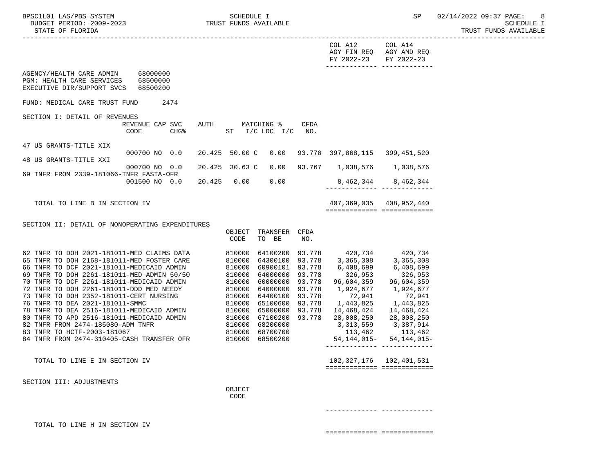----------------------------------------------------------------------------------------------------------------------------------- COL A12 COL A14 AGY FIN REQ AGY AMD REQ FY 2022-23 FY 2022-23 ------------- ------------- AGENCY/HEALTH CARE ADMIN 68000000 PGM: HEALTH CARE SERVICES 68500000 EXECUTIVE DIR/SUPPORT SVCS 68500200 FUND: MEDICAL CARE TRUST FUND 2474 SECTION I: DETAIL OF REVENUES REVENUE CAP SVC AUTH MATCHING % CFDA CODE CHG% ST I/C LOC I/C NO. 47 US GRANTS-TITLE XIX 000700 NO 0.0 20.425 50.00 C 0.00 93.778 397,868,115 399,451,520 48 US GRANTS-TITLE XXI 000700 NO 0.0 20.425 30.63 C 0.00 93.767 1,038,576 1,038,576 69 TNFR FROM 2339-181066-TNFR FASTA-OFR 001500 NO 0.0 20.425 0.00 0.00 8,462,344 8,462,344 ------------- ------------- TOTAL TO LINE B IN SECTION IV  $407,369,035$   $408,952,440$  ============= ============= SECTION II: DETAIL OF NONOPERATING EXPENDITURES OBJECT TRANSFER CFDA CODE TO BE NO. 62 TNFR TO DOH 2021-181011-MED CLAIMS DATA 810000 64100200 93.778 420,734 420,734 65 TNFR TO DOH 2168-181011-MED FOSTER CARE 810000 64300100 93.778 3,365,308 3,365,308 66 TNFR TO DCF 2021-181011-MEDICAID ADMIN 810000 60900101 93.778 6,408,699 6,408,699 69 TNFR TO DOH 2261-181011-MED ADMIN 50/50 810000 64000000 93.778 326,953 326,953 70 TNFR TO DCF 2261-181011-MEDICAID ADMIN 810000 60000000 93.778 96,604,359 96,604,359 72 TNFR TO DOH 2261-181011-DDD MED NEEDY 810000 64000000 93.778 1,924,677 1,924,677 73 TNFR TO DOH 2352-181011-CERT NURSING 810000 64400100 93.778 72,941 72,941 76 TNFR TO DEA 2021-181011-SMMC 810000 65100600 93.778 1,443,825 1,443,825 78 TNFR TO DEA 2516-181011-MEDICAID ADMIN 810000 65000000 93.778 14,468,424 14,468,424 80 TNFR TO APD 2516-181011-MEDICAID ADMIN 810000 67100200 93.778 28,008,250 28,008,250 82 TNFR FROM 2474-185080-ADM TNFR 83 TNFR TO HCTF-2003-181067 810000 68700700 113,462 113,462 84 TNFR FROM 2474-310405-CASH TRANSFER OFR 810000 68500200 54,144,015- 54,144,015- ------------- ------------- TOTAL TO LINE E IN SECTION IV 102,327,176 102,401,531 ============= ============= SECTION III: ADJUSTMENTS **OBJECT CODE** 

------------- -------------

TOTAL TO LINE H IN SECTION IV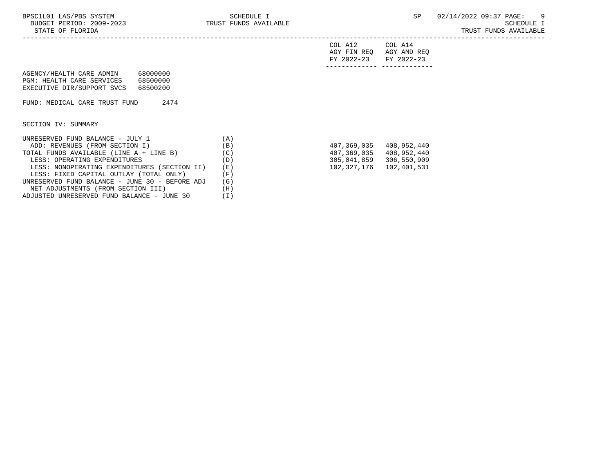|                                                                                            |                                  | COL A12<br>AGY FIN REO<br>FY 2022-23 | COL A14<br>AGY AMD REO<br>FY 2022-23 |
|--------------------------------------------------------------------------------------------|----------------------------------|--------------------------------------|--------------------------------------|
| AGENCY/HEALTH CARE ADMIN<br><b>PGM: HEALTH CARE SERVICES</b><br>EXECUTIVE DIR/SUPPORT SVCS | 68000000<br>68500000<br>68500200 |                                      |                                      |
| FUND: MEDICAL CARE TRUST FUND                                                              | 2474                             |                                      |                                      |

SECTION IV: SUMMARY

| UNRESERVED FUND BALANCE - JULY 1               | (A) |             |             |
|------------------------------------------------|-----|-------------|-------------|
| ADD: REVENUES (FROM SECTION I)                 | (B) | 407,369,035 | 408,952,440 |
| TOTAL FUNDS AVAILABLE (LINE A + LINE B)        | (C) | 407,369,035 | 408,952,440 |
| LESS: OPERATING EXPENDITURES                   | (D) | 305,041,859 | 306,550,909 |
| LESS: NONOPERATING EXPENDITURES (SECTION II)   | (E) | 102,327,176 | 102,401,531 |
| LESS: FIXED CAPITAL OUTLAY (TOTAL ONLY)        | (F) |             |             |
| UNRESERVED FUND BALANCE - JUNE 30 - BEFORE ADJ | (G) |             |             |
| NET ADJUSTMENTS (FROM SECTION III)             | (H) |             |             |
| ADJUSTED UNRESERVED FUND BALANCE - JUNE 30     |     |             |             |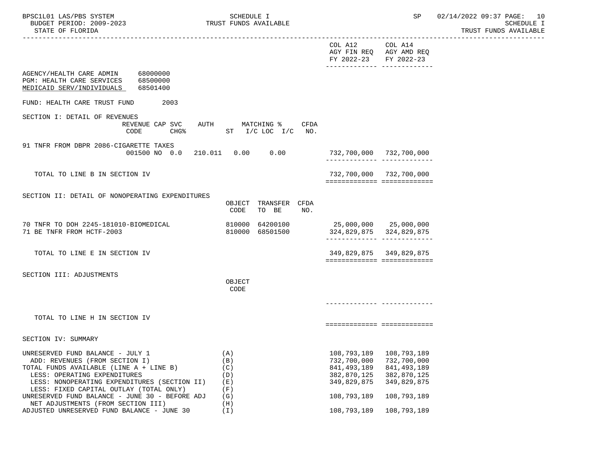| BPSC1L01 LAS/PBS SYSTEM<br>BUDGET PERIOD: 2009-2023<br>STATE OF FLORIDA<br>----------------------------------                                                                                                                                                                                                                    | SCHEDULE I<br>TRUST FUNDS AVAILABLE                  |                                                                                          | SP                                                                                       | 02/14/2022 09:37 PAGE: 10<br><b>SCHEDULE I</b><br>TRUST FUNDS AVAILABLE |
|----------------------------------------------------------------------------------------------------------------------------------------------------------------------------------------------------------------------------------------------------------------------------------------------------------------------------------|------------------------------------------------------|------------------------------------------------------------------------------------------|------------------------------------------------------------------------------------------|-------------------------------------------------------------------------|
|                                                                                                                                                                                                                                                                                                                                  |                                                      | COL A12 COL A14<br>AGY FIN REQ AGY AMD REQ<br>FY 2022-23 FY 2022-23                      |                                                                                          |                                                                         |
| AGENCY/HEALTH CARE ADMIN 68000000<br>PGM: HEALTH CARE SERVICES 68500000<br>MEDICAID SERV/INDIVIDUALS<br>68501400                                                                                                                                                                                                                 |                                                      |                                                                                          |                                                                                          |                                                                         |
| 2003<br>FUND: HEALTH CARE TRUST FUND                                                                                                                                                                                                                                                                                             |                                                      |                                                                                          |                                                                                          |                                                                         |
| SECTION I: DETAIL OF REVENUES<br>REVENUE CAP SVC AUTH MATCHING %<br>CODE                                                                                                                                                                                                                                                         | CFDA<br>CHG <sup>*</sup> ST I/C LOC I/C NO.          |                                                                                          |                                                                                          |                                                                         |
| 91 TNFR FROM DBPR 2086-CIGARETTE TAXES<br>001500 NO 0.0                                                                                                                                                                                                                                                                          |                                                      | 732,700,000  732,700,000<br>-------------- --------------                                |                                                                                          |                                                                         |
| TOTAL TO LINE B IN SECTION IV                                                                                                                                                                                                                                                                                                    |                                                      | 732,700,000 732,700,000<br>============================                                  |                                                                                          |                                                                         |
| SECTION II: DETAIL OF NONOPERATING EXPENDITURES                                                                                                                                                                                                                                                                                  | OBJECT TRANSFER CFDA<br>CODE<br>TO BE<br>NO.         |                                                                                          |                                                                                          |                                                                         |
| 70 TNFR TO DOH 2245-181010-BIOMEDICAL<br>71 BE TNFR FROM HCTF-2003                                                                                                                                                                                                                                                               | 810000 64200100<br>810000 68501500                   | 25,000,000 25,000,000<br>324,829,875 324,829,875                                         |                                                                                          |                                                                         |
| TOTAL TO LINE E IN SECTION IV                                                                                                                                                                                                                                                                                                    |                                                      | 349,829,875 349,829,875<br>============================                                  |                                                                                          |                                                                         |
| SECTION III: ADJUSTMENTS                                                                                                                                                                                                                                                                                                         | OBJECT<br>CODE                                       |                                                                                          |                                                                                          |                                                                         |
|                                                                                                                                                                                                                                                                                                                                  |                                                      |                                                                                          |                                                                                          |                                                                         |
| TOTAL TO LINE H IN SECTION IV                                                                                                                                                                                                                                                                                                    |                                                      | ============================                                                             |                                                                                          |                                                                         |
| SECTION IV: SUMMARY                                                                                                                                                                                                                                                                                                              |                                                      |                                                                                          |                                                                                          |                                                                         |
| UNRESERVED FUND BALANCE - JULY 1<br>ADD: REVENUES (FROM SECTION I)<br>TOTAL FUNDS AVAILABLE (LINE A + LINE B)<br>LESS: OPERATING EXPENDITURES<br>LESS: NONOPERATING EXPENDITURES (SECTION II)<br>LESS: FIXED CAPITAL OUTLAY (TOTAL ONLY)<br>UNRESERVED FUND BALANCE - JUNE 30 - BEFORE ADJ<br>NET ADJUSTMENTS (FROM SECTION III) | (A)<br>(B)<br>(C)<br>(D)<br>(E)<br>(F)<br>(G)<br>(H) | 108,793,189<br>732,700,000<br>841, 493, 189<br>382,870,125<br>349,829,875<br>108,793,189 | 108,793,189<br>732,700,000<br>841, 493, 189<br>382,870,125<br>349,829,875<br>108,793,189 |                                                                         |

ADJUSTED UNRESERVED FUND BALANCE - JUNE 30 (I) 108,793,189 108,793,189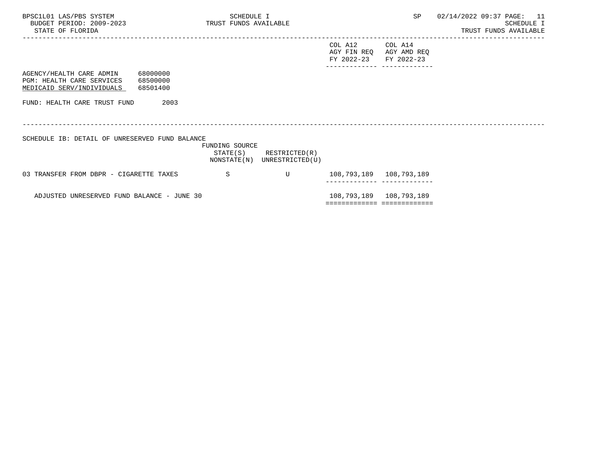| BPSC1L01 LAS/PBS SYSTEM<br>BUDGET PERIOD: 2009-2023 TRUST FUNDS AVAILABLE<br>STATE OF FLORIDA                    |                | SCHEDULE I                                                 |                                          |                                                         | SP 02/14/2022 09:37 PAGE: 11 | SCHEDULE I<br>TRUST FUNDS AVAILABLE |  |
|------------------------------------------------------------------------------------------------------------------|----------------|------------------------------------------------------------|------------------------------------------|---------------------------------------------------------|------------------------------|-------------------------------------|--|
|                                                                                                                  |                |                                                            | COL A12 COL A14<br>FY 2022-23 FY 2022-23 | AGY FIN REQ AGY AMD REQ<br>-------------- ------------- |                              |                                     |  |
| AGENCY/HEALTH CARE ADMIN 68000000<br>PGM: HEALTH CARE SERVICES<br>68500000<br>MEDICAID SERV/INDIVIDUALS 68501400 |                |                                                            |                                          |                                                         |                              |                                     |  |
| FUND: HEALTH CARE TRUST FUND                                                                                     | 2003           |                                                            |                                          |                                                         |                              |                                     |  |
| SCHEDULE IB: DETAIL OF UNRESERVED FUND BALANCE                                                                   | FUNDING SOURCE | $STATE(S)$ RESTRICTED $(R)$<br>NONSTATE(N) UNRESTRICTED(U) |                                          |                                                         |                              |                                     |  |
| 03 TRANSFER FROM DBPR - CIGARETTE TAXES                                                                          | S.             | $\mathbf{U}$                                               | 108,793,189   108,793,189                |                                                         |                              |                                     |  |
| ADJUSTED UNRESERVED FUND BALANCE - JUNE 30                                                                       |                |                                                            | ===========================              | 108,793,189 108,793,189                                 |                              |                                     |  |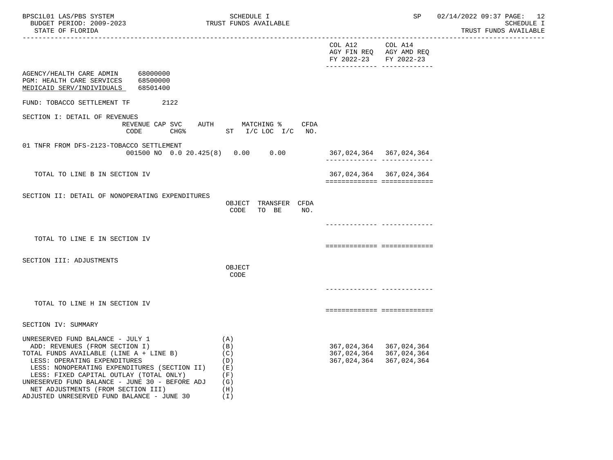| BPSC1L01 LAS/PBS SYSTEM<br>BUDGET PERIOD: 2009-2023<br>STATE OF FLORIDA<br>----------------------                                                                                                                                                                                                                                |                                   | SCHEDULE I<br>TRUST FUNDS AVAILABLE                            |                                          | SP                                                                    | 02/14/2022 09:37 PAGE: 12<br><b>SCHEDULE I</b><br>TRUST FUNDS AVAILABLE |
|----------------------------------------------------------------------------------------------------------------------------------------------------------------------------------------------------------------------------------------------------------------------------------------------------------------------------------|-----------------------------------|----------------------------------------------------------------|------------------------------------------|-----------------------------------------------------------------------|-------------------------------------------------------------------------|
|                                                                                                                                                                                                                                                                                                                                  |                                   |                                                                | COL A12 COL A14<br>FY 2022-23 FY 2022-23 | AGY FIN REQ AGY AMD REQ                                               |                                                                         |
| AGENCY/HEALTH CARE ADMIN 68000000<br>PGM: HEALTH CARE SERVICES 68500000<br>MEDICAID SERV/INDIVIDUALS                                                                                                                                                                                                                             | 68501400                          |                                                                |                                          |                                                                       |                                                                         |
| FUND: TOBACCO SETTLEMENT TF                                                                                                                                                                                                                                                                                                      | 2122                              |                                                                |                                          |                                                                       |                                                                         |
| SECTION I: DETAIL OF REVENUES                                                                                                                                                                                                                                                                                                    | REVENUE CAP SVC<br>CODE           | CFDA<br>AUTH MATCHING %<br>CHG <sup>*</sup> ST I/C LOC I/C NO. |                                          |                                                                       |                                                                         |
| 01 TNFR FROM DFS-2123-TOBACCO SETTLEMENT                                                                                                                                                                                                                                                                                         | 001500 NO 0.0 20.425(8) 0.00 0.00 |                                                                |                                          | 367,024,364 367,024,364<br>-------------- --------------              |                                                                         |
| TOTAL TO LINE B IN SECTION IV                                                                                                                                                                                                                                                                                                    |                                   |                                                                |                                          | 367, 024, 364 367, 024, 364<br>============================           |                                                                         |
| SECTION II: DETAIL OF NONOPERATING EXPENDITURES                                                                                                                                                                                                                                                                                  |                                   | OBJECT TRANSFER CFDA<br>CODE<br>TO BE<br>NO.                   |                                          |                                                                       |                                                                         |
| TOTAL TO LINE E IN SECTION IV                                                                                                                                                                                                                                                                                                    |                                   |                                                                |                                          | ------------ --------------<br>============================           |                                                                         |
| SECTION III: ADJUSTMENTS                                                                                                                                                                                                                                                                                                         |                                   | OBJECT<br>CODE                                                 |                                          |                                                                       |                                                                         |
|                                                                                                                                                                                                                                                                                                                                  |                                   |                                                                |                                          | -------------- --------------                                         |                                                                         |
| TOTAL TO LINE H IN SECTION IV                                                                                                                                                                                                                                                                                                    |                                   |                                                                |                                          | seconomentes exceptosecono                                            |                                                                         |
| SECTION IV: SUMMARY                                                                                                                                                                                                                                                                                                              |                                   |                                                                |                                          |                                                                       |                                                                         |
| UNRESERVED FUND BALANCE - JULY 1<br>ADD: REVENUES (FROM SECTION I)<br>TOTAL FUNDS AVAILABLE (LINE A + LINE B)<br>LESS: OPERATING EXPENDITURES<br>LESS: NONOPERATING EXPENDITURES (SECTION II)<br>LESS: FIXED CAPITAL OUTLAY (TOTAL ONLY)<br>UNRESERVED FUND BALANCE - JUNE 30 - BEFORE ADJ<br>NET ADJUSTMENTS (FROM SECTION III) |                                   | (A)<br>(B)<br>(C)<br>(D)<br>( E )<br>(F)<br>(G)<br>(H)         | 367,024,364                              | 367,024,364 367,024,364<br>367, 024, 364 367, 024, 364<br>367,024,364 |                                                                         |

ADJUSTED UNRESERVED FUND BALANCE - JUNE 30 (I)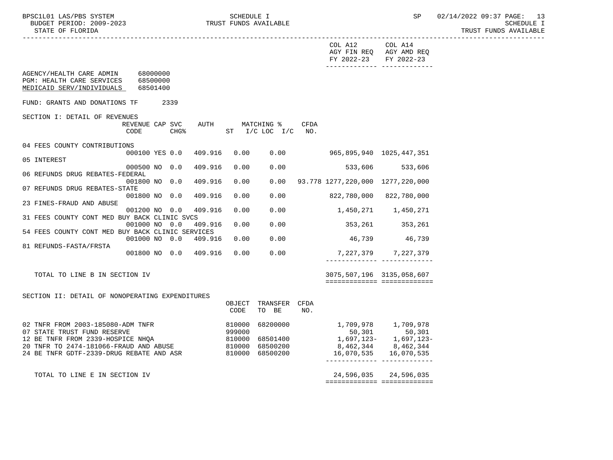|                                                                                                                  |                |                                      |      | COL A12 COL A14<br>FY 2022-23               | AGY FIN REQ AGY AMD REQ<br>FY 2022-23                    |  |
|------------------------------------------------------------------------------------------------------------------|----------------|--------------------------------------|------|---------------------------------------------|----------------------------------------------------------|--|
| AGENCY/HEALTH CARE ADMIN 68000000<br>PGM: HEALTH CARE SERVICES<br>68500000<br>MEDICAID SERV/INDIVIDUALS 68501400 |                |                                      |      |                                             |                                                          |  |
| FUND: GRANTS AND DONATIONS TF<br>2339                                                                            |                |                                      |      |                                             |                                                          |  |
| SECTION I: DETAIL OF REVENUES                                                                                    |                |                                      |      |                                             |                                                          |  |
| REVENUE CAP SVC<br>AUTH<br>CODE<br>CHG%                                                                          |                | MATCHING %<br>ST $I/C$ LOC $I/C$ NO. | CFDA |                                             |                                                          |  |
| 04 FEES COUNTY CONTRIBUTIONS                                                                                     |                |                                      |      |                                             |                                                          |  |
| 000100 YES 0.0<br>409.916<br>05 INTEREST                                                                         | 0.00           | 0.00                                 |      | 965,895,940 1025,447,351                    |                                                          |  |
| 000500 NO 0.0<br>409.916                                                                                         | 0.00           | 0.00                                 |      | 533,606 533,606                             |                                                          |  |
| 06 REFUNDS DRUG REBATES-FEDERAL<br>409.916<br>001800 NO 0.0                                                      | 0.00           |                                      |      | $0.00$ 93.778 1277, 220, 000 1277, 220, 000 |                                                          |  |
| 07 REFUNDS DRUG REBATES-STATE                                                                                    |                |                                      |      |                                             |                                                          |  |
| 409.916<br>001800 NO 0.0<br>23 FINES-FRAUD AND ABUSE                                                             | 0.00           | 0.00                                 |      |                                             | 822,780,000 822,780,000                                  |  |
| 409.916<br>001200 NO 0.0                                                                                         | 0.00           | 0.00                                 |      |                                             | 1,450,271 1,450,271                                      |  |
| 31 FEES COUNTY CONT MED BUY BACK CLINIC SVCS<br>001000 NO 0.0<br>409.916                                         | 0.00           | 0.00                                 |      |                                             | 353,261 353,261                                          |  |
| 54 FEES COUNTY CONT MED BUY BACK CLINIC SERVICES                                                                 |                |                                      |      |                                             |                                                          |  |
| 001000 NO 0.0 409.916<br>81 REFUNDS-FASTA/FRSTA                                                                  | 0.00           | 0.00                                 |      |                                             | 46,739 46,739                                            |  |
| 001800 NO 0.0 409.916                                                                                            | 0.00           | 0.00                                 |      |                                             | 7, 227, 379 7, 227, 379                                  |  |
|                                                                                                                  |                |                                      |      |                                             |                                                          |  |
| TOTAL TO LINE B IN SECTION IV                                                                                    |                |                                      |      | 3075,507,196 3135,058,607                   |                                                          |  |
|                                                                                                                  |                |                                      |      |                                             | ============================                             |  |
| SECTION II: DETAIL OF NONOPERATING EXPENDITURES                                                                  |                |                                      |      |                                             |                                                          |  |
|                                                                                                                  | OBJECT<br>CODE | TRANSFER CFDA<br>TO BE               | NO.  |                                             |                                                          |  |
| 02 TNFR FROM 2003-185080-ADM TNFR                                                                                | 810000         | 68200000                             |      | 1,709,978 1,709,978                         |                                                          |  |
| 07 STATE TRUST FUND RESERVE<br>12 BE TNFR FROM 2339-HOSPICE NHOA                                                 | 999000         |                                      |      |                                             | 50,301 50,301<br>1,697,123- 1,697,123-                   |  |
| 20 TNFR TO 2474-181066-FRAUD AND ABUSE                                                                           |                | 810000 68501400<br>810000 68500200   |      |                                             | 8,462,344 8,462,344                                      |  |
| 24 BE TNFR GDTF-2339-DRUG REBATE AND ASR                                                                         |                | 810000 68500200                      |      |                                             | 16,070,535 16,070,535                                    |  |
|                                                                                                                  |                |                                      |      |                                             |                                                          |  |
| TOTAL TO LINE E IN SECTION IV                                                                                    |                |                                      |      |                                             | 24,596,035 24,596,035<br>_______________________________ |  |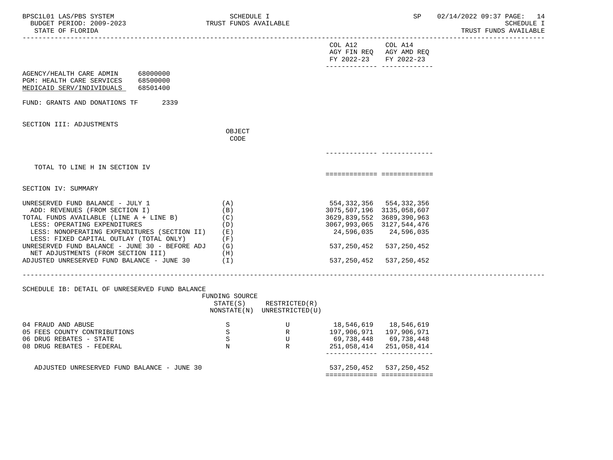| BPSC1L01 LAS/PBS SYSTEM<br>BUDGET PERIOD: 2009-2023<br>STATE OF FLORIDA                                                                                                                                                                                                                                                                                                                  | SCHEDULE I<br>TRUST FUNDS AVAILABLE                     |                                                            |                                                                                         | SP                                                                                                                 | 02/14/2022 09:37 PAGE: 14<br>SCHEDULE I<br>TRUST FUNDS AVAILABLE |
|------------------------------------------------------------------------------------------------------------------------------------------------------------------------------------------------------------------------------------------------------------------------------------------------------------------------------------------------------------------------------------------|---------------------------------------------------------|------------------------------------------------------------|-----------------------------------------------------------------------------------------|--------------------------------------------------------------------------------------------------------------------|------------------------------------------------------------------|
|                                                                                                                                                                                                                                                                                                                                                                                          |                                                         |                                                            | COL A12<br>FY 2022-23 FY 2022-23                                                        | COL A14<br>AGY FIN REQ AGY AMD REQ                                                                                 |                                                                  |
| 68000000<br>AGENCY/HEALTH CARE ADMIN<br>PGM: HEALTH CARE SERVICES 68500000<br>MEDICAID SERV/INDIVIDUALS<br>68501400                                                                                                                                                                                                                                                                      |                                                         |                                                            |                                                                                         |                                                                                                                    |                                                                  |
| FUND: GRANTS AND DONATIONS TF<br>2339                                                                                                                                                                                                                                                                                                                                                    |                                                         |                                                            |                                                                                         |                                                                                                                    |                                                                  |
| SECTION III: ADJUSTMENTS                                                                                                                                                                                                                                                                                                                                                                 | OBJECT<br>CODE                                          |                                                            |                                                                                         |                                                                                                                    |                                                                  |
|                                                                                                                                                                                                                                                                                                                                                                                          |                                                         |                                                            |                                                                                         |                                                                                                                    |                                                                  |
| TOTAL TO LINE H IN SECTION IV                                                                                                                                                                                                                                                                                                                                                            |                                                         |                                                            |                                                                                         | ===========================                                                                                        |                                                                  |
| SECTION IV: SUMMARY                                                                                                                                                                                                                                                                                                                                                                      |                                                         |                                                            |                                                                                         |                                                                                                                    |                                                                  |
| UNRESERVED FUND BALANCE - JULY 1<br>ADD: REVENUES (FROM SECTION I)<br>TOTAL FUNDS AVAILABLE (LINE A + LINE B)<br>LESS: OPERATING EXPENDITURES<br>LESS: NONOPERATING EXPENDITURES (SECTION II) (E)<br>LESS: FIXED CAPITAL OUTLAY (TOTAL ONLY)<br>UNRESERVED FUND BALANCE - JUNE 30 - BEFORE ADJ $(G)$<br>NET ADJUSTMENTS (FROM SECTION III)<br>ADJUSTED UNRESERVED FUND BALANCE - JUNE 30 | (A)<br>(B)<br>(C)<br>(D)<br>(F)<br>(H)<br>$(\lrcorner)$ |                                                            | 3075,507,196 3135,058,607<br>3629,839,552 3689,390,963<br>3067, 993, 065 3127, 544, 476 | 554, 332, 356 554, 332, 356<br>24,596,035 24,596,035<br>537, 250, 452 537, 250, 452<br>537, 250, 452 537, 250, 452 |                                                                  |
| SCHEDULE IB: DETAIL OF UNRESERVED FUND BALANCE                                                                                                                                                                                                                                                                                                                                           | FUNDING SOURCE                                          | $STATE(S)$ RESTRICTED $(R)$<br>NONSTATE(N) UNRESTRICTED(U) |                                                                                         |                                                                                                                    |                                                                  |
| 04 FRAUD AND ABUSE<br>05 FEES COUNTY CONTRIBUTIONS<br>06 DRUG REBATES - STATE<br>08 DRUG REBATES - FEDERAL                                                                                                                                                                                                                                                                               | S<br>S<br>S<br>N                                        | ${\tt U}$<br>R<br>$\mathbf U$<br>R                         | 18,546,619 18,546,619<br>197,906,971 197,906,971                                        | 69,738,448   69,738,448<br>251,058,414 251,058,414<br>------------- -------------                                  |                                                                  |
| ADJUSTED UNRESERVED FUND BALANCE - JUNE 30                                                                                                                                                                                                                                                                                                                                               |                                                         |                                                            |                                                                                         | 537, 250, 452 537, 250, 452                                                                                        |                                                                  |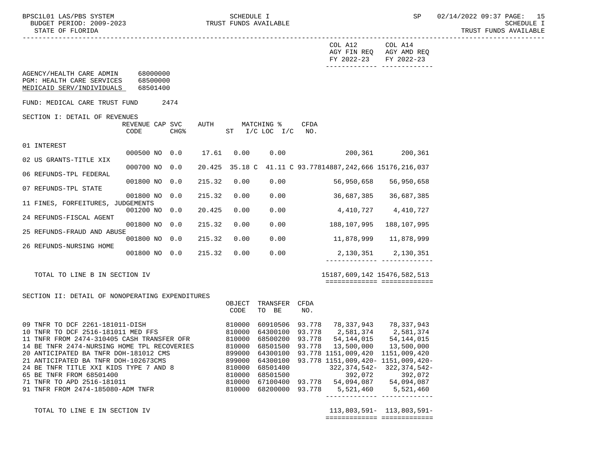AGENCY/HEALTH CARE ADMIN

02 US GRANTS-TITLE XIX

06 REFUNDS-TPL FEDERAL

24 REFUNDS-FISCAL AGENT

26 REFUNDS-NURSING HOME

07 REFUNDS-TPL STATE

01 INTEREST

 ----------------------------------------------------------------------------------------------------------------------------------- COL A12 COL A14 AGY FIN REQ AGY AMD REQ FY 2022-23 FY 2022-23 ------------- ------------- PGM: HEALTH CARE SERVICES 68500000 MEDICAID SERV/INDIVIDUALS 68501400 FUND: MEDICAL CARE TRUST FUND 2474 SECTION I: DETAIL OF REVENUES<br>REVENUE CAP SVC AUTH MATCHING % CFDA CODE CHG<sup>&</sup> ST I/C LOC I/C NO. 000500 NO 0.0 17.61 0.00 0.00 200,361 200,361 000700 NO 0.0 20.425 35.18 C 41.11 C 93.77814887,242,666 15176,216,037 001800 NO 0.0 215.32 0.00 0.00 56,950,658 56,950,658 001800 NO 0.0 215.32 0.00 0.00 36,687,385 36,687,385 11 FINES, FORFEITURES, JUDGEMENTS 001200 NO 0.0 20.425 0.00 0.00 4,410,727 4,410,727 001800 NO 0.0 215.32 0.00 0.00 188,107,995 188,107,995 25 REFUNDS-FRAUD AND ABUSE 001800 NO 0.0 215.32 0.00 0.00 11,878,999 11,878,999 001800 NO 0.0 215.32 0.00 0.00 2,130,351 2,130,351 ------------- ------------- TOTAL TO LINE B IN SECTION IV 15187,609,142 15476,582,513 ============= =============

## SECTION II: DETAIL OF NONOPERATING EXPENDITURES

|                                             | OBJECT | TRANSFER | CFDA   |                                    |              |
|---------------------------------------------|--------|----------|--------|------------------------------------|--------------|
|                                             | CODE   | BE<br>TO | NO.    |                                    |              |
| 09 TNFR TO DCF 2261-181011-DISH             | 810000 | 60910506 | 93.778 | 78,337,943                         | 78,337,943   |
| 10 TNFR TO DCF 2516-181011 MED FFS          | 810000 | 64300100 | 93.778 | 2,581,374                          | 2,581,374    |
| 11 TNFR FROM 2474-310405 CASH TRANSFER OFR  | 810000 | 68500200 | 93.778 | 54,144,015                         | 54, 144, 015 |
| 14 BE TNFR 2474-NURSING HOME TPL RECOVERIES | 810000 | 68501500 | 93.778 | 13,500,000                         | 13,500,000   |
| 20 ANTICIPATED BA TNFR DOH-181012 CMS       | 899000 | 64300100 |        | 93.778 1151.009.420                | 1151,009,420 |
| 21 ANTICIPATED BA TNFR DOH-102673CMS        | 899000 | 64300100 |        | 93.778 1151,009,420- 1151,009,420- |              |
| 24 BE TNFR TITLE XXI KIDS TYPE 7 AND 8      | 810000 | 68501400 |        | $322.374.542-$                     | 322,374,542- |
| 65 BE TNFR FROM 68501400                    | 810000 | 68501500 |        | 392,072                            | 392,072      |
| 71 TNFR TO APD 2516-181011                  | 810000 | 67100400 | 93.778 | 54,094,087                         | 54,094,087   |
| 91 TNFR FROM 2474-185080-ADM TNFR           | 810000 | 68200000 | 93.778 | 5,521,460                          | 5,521,460    |
|                                             |        |          |        |                                    |              |

 TOTAL TO LINE E IN SECTION IV 113,803,591- 113,803,591- ============= =============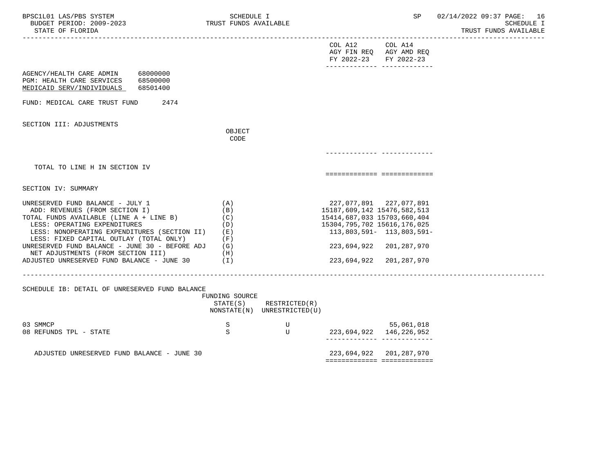| BPSC1L01 LAS/PBS SYSTEM<br>BUDGET PERIOD: 2009-2023<br>STATE OF FLORIDA                                                                                                                                                                                                                                                          | SCHEDULE I<br>TRUST FUNDS AVAILABLE                    |                                              |                                                                                           | SP                                                                              | 02/14/2022 09:37 PAGE: 16<br><b>SCHEDULE I</b><br>TRUST FUNDS AVAILABLE |
|----------------------------------------------------------------------------------------------------------------------------------------------------------------------------------------------------------------------------------------------------------------------------------------------------------------------------------|--------------------------------------------------------|----------------------------------------------|-------------------------------------------------------------------------------------------|---------------------------------------------------------------------------------|-------------------------------------------------------------------------|
|                                                                                                                                                                                                                                                                                                                                  |                                                        |                                              | COL A12<br>FY 2022-23                                                                     | COL A14<br>AGY FIN REQ AGY AMD REQ<br>FY 2022-23                                | --------------                                                          |
| AGENCY/HEALTH CARE ADMIN 68000000<br>PGM: HEALTH CARE SERVICES<br>68500000<br>MEDICAID SERV/INDIVIDUALS<br>68501400                                                                                                                                                                                                              |                                                        |                                              |                                                                                           |                                                                                 |                                                                         |
| FUND: MEDICAL CARE TRUST FUND<br>2474                                                                                                                                                                                                                                                                                            |                                                        |                                              |                                                                                           |                                                                                 |                                                                         |
| SECTION III: ADJUSTMENTS                                                                                                                                                                                                                                                                                                         | OBJECT<br>CODE                                         |                                              |                                                                                           |                                                                                 |                                                                         |
|                                                                                                                                                                                                                                                                                                                                  |                                                        |                                              |                                                                                           |                                                                                 |                                                                         |
| TOTAL TO LINE H IN SECTION IV                                                                                                                                                                                                                                                                                                    |                                                        |                                              |                                                                                           | ===========================                                                     |                                                                         |
| SECTION IV: SUMMARY                                                                                                                                                                                                                                                                                                              |                                                        |                                              |                                                                                           |                                                                                 |                                                                         |
| UNRESERVED FUND BALANCE - JULY 1<br>ADD: REVENUES (FROM SECTION I)<br>TOTAL FUNDS AVAILABLE (LINE A + LINE B)<br>LESS: OPERATING EXPENDITURES<br>LESS: NONOPERATING EXPENDITURES (SECTION II)<br>LESS: FIXED CAPITAL OUTLAY (TOTAL ONLY)<br>UNRESERVED FUND BALANCE - JUNE 30 - BEFORE ADJ<br>NET ADJUSTMENTS (FROM SECTION III) | (A)<br>(B)<br>(C)<br>(D)<br>( E )<br>(F)<br>(G)<br>(H) |                                              | 15187,609,142 15476,582,513<br>15414,687,033 15703,660,404<br>15304,795,702 15616,176,025 | 227,077,891 227,077,891<br>113,803,591- 113,803,591-<br>223,694,922 201,287,970 |                                                                         |
| ADJUSTED UNRESERVED FUND BALANCE - JUNE 30                                                                                                                                                                                                                                                                                       | (I)                                                    |                                              | 223,694,922                                                                               | 201,287,970                                                                     |                                                                         |
| SCHEDULE IB: DETAIL OF UNRESERVED FUND BALANCE                                                                                                                                                                                                                                                                                   | FUNDING SOURCE<br>STATE(S)                             | RESTRICTED(R)<br>NONSTATE(N) UNRESTRICTED(U) |                                                                                           |                                                                                 |                                                                         |
| 03 SMMCP<br>08 REFUNDS TPL - STATE                                                                                                                                                                                                                                                                                               | S<br>S                                                 | U<br>U                                       |                                                                                           | 55,061,018<br>223,694,922 146,226,952<br>_______________________________        |                                                                         |
| ADJUSTED UNRESERVED FUND BALANCE - JUNE 30                                                                                                                                                                                                                                                                                       |                                                        |                                              |                                                                                           | 223,694,922 201,287,970                                                         |                                                                         |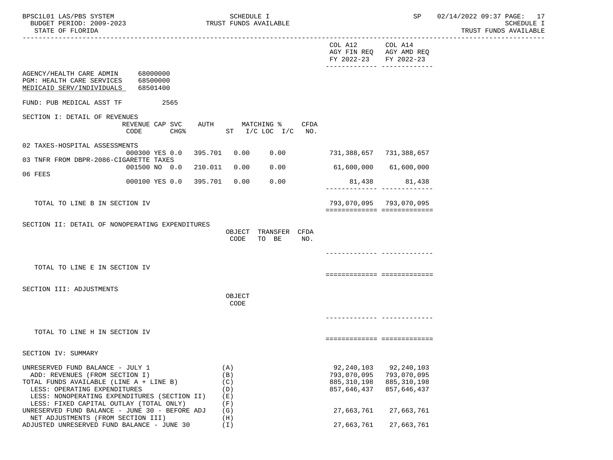| BPSC1L01 LAS/PBS SYSTEM<br>BUDGET PERIOD: 2009-2023<br>STATE OF FLORIDA                                                                                                                                                                  | SCHEDULE I<br>TRUST FUNDS AVAILABLE    |                                      |                                                             | SP                                                                                    | 02/14/2022 09:37 PAGE: 17<br>SCHEDULE I<br>TRUST FUNDS AVAILABLE |
|------------------------------------------------------------------------------------------------------------------------------------------------------------------------------------------------------------------------------------------|----------------------------------------|--------------------------------------|-------------------------------------------------------------|---------------------------------------------------------------------------------------|------------------------------------------------------------------|
|                                                                                                                                                                                                                                          |                                        |                                      | COL A12<br>FY 2022-23                                       | COL A14<br>AGY FIN REQ AGY AMD REQ<br>FY 2022-23<br>.________________________________ |                                                                  |
| AGENCY/HEALTH CARE ADMIN 68000000<br>PGM: HEALTH CARE SERVICES<br>68500000<br>MEDICAID SERV/INDIVIDUALS<br>68501400                                                                                                                      |                                        |                                      |                                                             |                                                                                       |                                                                  |
| FUND: PUB MEDICAL ASST TF<br>2565                                                                                                                                                                                                        |                                        |                                      |                                                             |                                                                                       |                                                                  |
| SECTION I: DETAIL OF REVENUES<br>REVENUE CAP SVC<br><b>CHG%</b><br>CODE                                                                                                                                                                  | AUTH MATCHING %                        | CFDA<br>ST I/C LOC I/C NO.           |                                                             |                                                                                       |                                                                  |
| 02 TAXES-HOSPITAL ASSESSMENTS                                                                                                                                                                                                            |                                        |                                      |                                                             |                                                                                       |                                                                  |
| 000300 YES 0.0 395.701<br>03 TNFR FROM DBPR-2086-CIGARETTE TAXES                                                                                                                                                                         | 0.00                                   | 0.00                                 |                                                             | 731,388,657 731,388,657                                                               |                                                                  |
| 001500 NO 0.0 210.011<br>06 FEES                                                                                                                                                                                                         | 0.00                                   | 0.00                                 | 61,600,000                                                  | 61,600,000                                                                            |                                                                  |
| 000100 YES 0.0 395.701                                                                                                                                                                                                                   | 0.00                                   | 0.00                                 | 81,438                                                      | 81,438<br>__________________________________                                          |                                                                  |
| TOTAL TO LINE B IN SECTION IV                                                                                                                                                                                                            |                                        |                                      |                                                             | 793,070,095 793,070,095<br>============================                               |                                                                  |
| SECTION II: DETAIL OF NONOPERATING EXPENDITURES                                                                                                                                                                                          |                                        |                                      |                                                             |                                                                                       |                                                                  |
|                                                                                                                                                                                                                                          | CODE                                   | OBJECT TRANSFER CFDA<br>TO BE<br>NO. |                                                             |                                                                                       |                                                                  |
|                                                                                                                                                                                                                                          |                                        |                                      |                                                             |                                                                                       |                                                                  |
| TOTAL TO LINE E IN SECTION IV                                                                                                                                                                                                            |                                        |                                      |                                                             |                                                                                       |                                                                  |
|                                                                                                                                                                                                                                          |                                        |                                      |                                                             | ===========================                                                           |                                                                  |
| SECTION III: ADJUSTMENTS                                                                                                                                                                                                                 | OBJECT<br>CODE                         |                                      |                                                             |                                                                                       |                                                                  |
|                                                                                                                                                                                                                                          |                                        |                                      |                                                             |                                                                                       |                                                                  |
| TOTAL TO LINE H IN SECTION IV                                                                                                                                                                                                            |                                        |                                      |                                                             | ===========================                                                           |                                                                  |
| SECTION IV: SUMMARY                                                                                                                                                                                                                      |                                        |                                      |                                                             |                                                                                       |                                                                  |
| UNRESERVED FUND BALANCE - JULY 1<br>ADD: REVENUES (FROM SECTION I)<br>TOTAL FUNDS AVAILABLE (LINE A + LINE B)<br>LESS: OPERATING EXPENDITURES<br>LESS: NONOPERATING EXPENDITURES (SECTION II)<br>LESS: FIXED CAPITAL OUTLAY (TOTAL ONLY) | (A)<br>(B)<br>(C)<br>(D)<br>(E)<br>(F) |                                      | 92, 240, 103<br>793,070,095<br>885, 310, 198<br>857,646,437 | 92,240,103<br>793,070,095<br>885, 310, 198<br>857,646,437                             |                                                                  |
| UNRESERVED FUND BALANCE - JUNE 30 - BEFORE ADJ<br>NET ADJUSTMENTS (FROM SECTION III)                                                                                                                                                     | (G)<br>(H)                             |                                      | 27,663,761                                                  | 27,663,761                                                                            |                                                                  |
| ADJUSTED UNRESERVED FUND BALANCE - JUNE 30                                                                                                                                                                                               | (I)                                    |                                      | 27,663,761                                                  | 27,663,761                                                                            |                                                                  |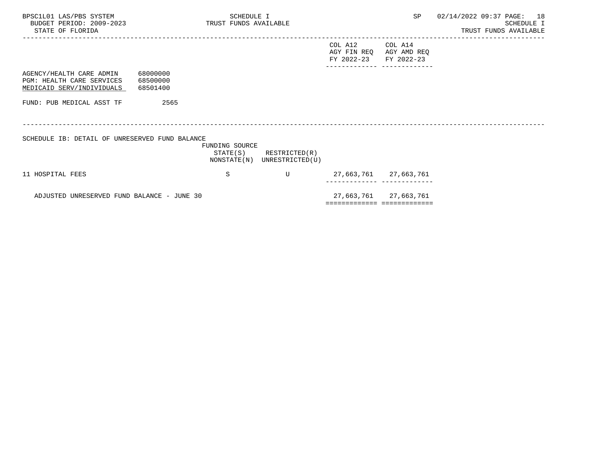| BPSC1L01 LAS/PBS SYSTEM<br>BUDGET PERIOD: 2009-2023<br>STATE OF FLORIDA            |                                  | SCHEDULE I<br>TRUST FUNDS AVAILABLE |                                                            |                                      |                                      | SP 02/14/2022 09:37 PAGE: 18 | SCHEDULE I<br>TRUST FUNDS AVAILABLE |  |
|------------------------------------------------------------------------------------|----------------------------------|-------------------------------------|------------------------------------------------------------|--------------------------------------|--------------------------------------|------------------------------|-------------------------------------|--|
|                                                                                    |                                  |                                     |                                                            | COL A12<br>AGY FIN REQ<br>FY 2022-23 | COL A14<br>AGY AMD REQ<br>FY 2022-23 |                              |                                     |  |
| AGENCY/HEALTH CARE ADMIN<br>PGM: HEALTH CARE SERVICES<br>MEDICAID SERV/INDIVIDUALS | 68000000<br>68500000<br>68501400 |                                     |                                                            |                                      |                                      |                              |                                     |  |
| FUND: PUB MEDICAL ASST TF                                                          | 2565                             |                                     |                                                            |                                      |                                      |                              |                                     |  |
| SCHEDULE IB: DETAIL OF UNRESERVED FUND BALANCE                                     |                                  |                                     |                                                            |                                      |                                      |                              |                                     |  |
|                                                                                    |                                  | FUNDING SOURCE                      | $STATE(S)$ RESTRICTED $(R)$<br>NONSTATE(N) UNRESTRICTED(U) |                                      |                                      |                              |                                     |  |
| 11 HOSPITAL FEES                                                                   |                                  | S                                   | U                                                          |                                      | 27,663,761 27,663,761                |                              |                                     |  |
| ADJUSTED UNRESERVED FUND BALANCE - JUNE 30                                         |                                  |                                     |                                                            |                                      | 27,663,761 27,663,761                |                              |                                     |  |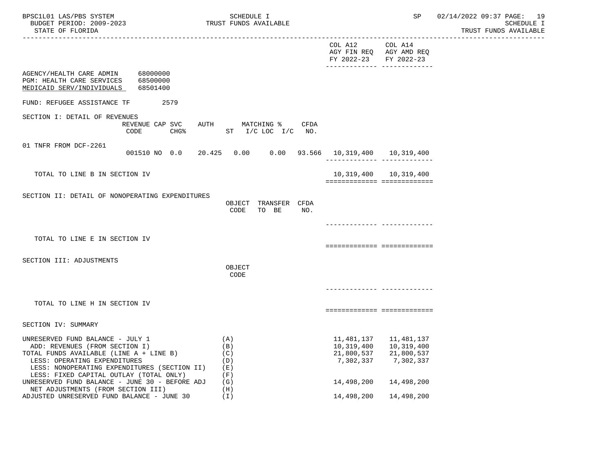| BPSC1L01 LAS/PBS SYSTEM<br>BUDGET PERIOD: 2009-2023<br>STATE OF FLORIDA                                                                                                                                                                  | SCHEDULE I<br>TRUST FUNDS AVAILABLE                |                                                                                             | SP                                                                 | 02/14/2022 09:37 PAGE: 19<br>SCHEDULE I<br>TRUST FUNDS AVAILABLE |
|------------------------------------------------------------------------------------------------------------------------------------------------------------------------------------------------------------------------------------------|----------------------------------------------------|---------------------------------------------------------------------------------------------|--------------------------------------------------------------------|------------------------------------------------------------------|
|                                                                                                                                                                                                                                          |                                                    | COL A12<br>AGY FIN REQ AGY AMD REQ<br>FY 2022-23 FY 2022-23<br>-------------- ------------- | COL A14                                                            |                                                                  |
| AGENCY/HEALTH CARE ADMIN 68000000<br>PGM: HEALTH CARE SERVICES 68500000<br>MEDICAID SERV/INDIVIDUALS<br>68501400                                                                                                                         |                                                    |                                                                                             |                                                                    |                                                                  |
| FUND: REFUGEE ASSISTANCE TF<br>2579                                                                                                                                                                                                      |                                                    |                                                                                             |                                                                    |                                                                  |
| SECTION I: DETAIL OF REVENUES<br>REVENUE CAP SVC<br>CODE<br>$CHG\$                                                                                                                                                                       | AUTH MATCHING % CFDA<br>ST I/C LOC I/C NO.         |                                                                                             |                                                                    |                                                                  |
| 01 TNFR FROM DCF-2261<br>001510 NO 0.0                                                                                                                                                                                                   | 20.425  0.00  0.00  93.566  10,319,400  10,319,400 | -------------- --------------                                                               |                                                                    |                                                                  |
| TOTAL TO LINE B IN SECTION IV                                                                                                                                                                                                            |                                                    | ============================                                                                | 10,319,400 10,319,400                                              |                                                                  |
| SECTION II: DETAIL OF NONOPERATING EXPENDITURES                                                                                                                                                                                          | OBJECT TRANSFER CFDA<br>TO BE<br>CODE<br>NO.       |                                                                                             |                                                                    |                                                                  |
| TOTAL TO LINE E IN SECTION IV                                                                                                                                                                                                            |                                                    | ===========================                                                                 | ------------ --------------                                        |                                                                  |
| SECTION III: ADJUSTMENTS                                                                                                                                                                                                                 | OBJECT<br>CODE                                     |                                                                                             |                                                                    |                                                                  |
|                                                                                                                                                                                                                                          |                                                    |                                                                                             |                                                                    |                                                                  |
| TOTAL TO LINE H IN SECTION IV                                                                                                                                                                                                            |                                                    | ===========================                                                                 |                                                                    |                                                                  |
| SECTION IV: SUMMARY                                                                                                                                                                                                                      |                                                    |                                                                                             |                                                                    |                                                                  |
| UNRESERVED FUND BALANCE - JULY 1<br>ADD: REVENUES (FROM SECTION I)<br>TOTAL FUNDS AVAILABLE (LINE A + LINE B)<br>LESS: OPERATING EXPENDITURES<br>LESS: NONOPERATING EXPENDITURES (SECTION II)<br>LESS: FIXED CAPITAL OUTLAY (TOTAL ONLY) | (A)<br>(B)<br>(C)<br>(D)<br>(E)<br>(F)             | 10,319,400<br>21,800,537<br>7,302,337                                                       | 11, 481, 137 11, 481, 137<br>10,319,400<br>21,800,537<br>7,302,337 |                                                                  |
| UNRESERVED FUND BALANCE - JUNE 30 - BEFORE ADJ<br>NET ADJUSTMENTS (FROM SECTION III)                                                                                                                                                     | (G)<br>(H)                                         | 14,498,200                                                                                  | 14,498,200                                                         |                                                                  |
| ADJUSTED UNRESERVED FUND BALANCE - JUNE 30                                                                                                                                                                                               | (I)                                                | 14,498,200                                                                                  | 14,498,200                                                         |                                                                  |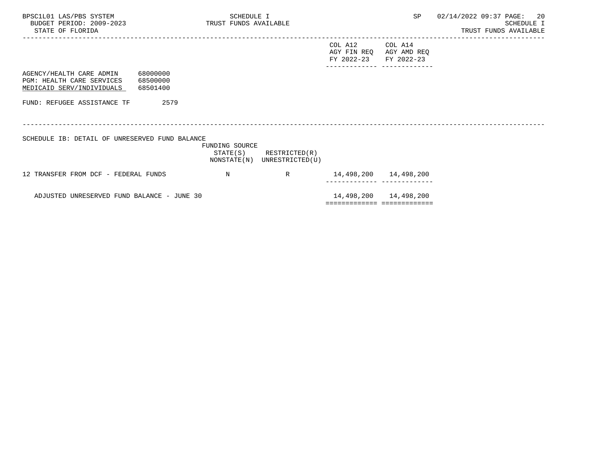| BPSC1L01 LAS/PBS SYSTEM<br>BUDGET PERIOD: 2009-2023 TRUST FUNDS AVAILABLE<br>STATE OF FLORIDA |                                  | SCHEDULE I     |                                                            |                                      |                                      | SP 02/14/2022 09:37 PAGE: | - 20<br>SCHEDULE I<br>TRUST FUNDS AVAILABLE |
|-----------------------------------------------------------------------------------------------|----------------------------------|----------------|------------------------------------------------------------|--------------------------------------|--------------------------------------|---------------------------|---------------------------------------------|
|                                                                                               |                                  |                |                                                            | COL A12<br>AGY FIN REQ<br>FY 2022-23 | COL A14<br>AGY AMD REQ<br>FY 2022-23 |                           |                                             |
| AGENCY/HEALTH CARE ADMIN<br>PGM: HEALTH CARE SERVICES<br>MEDICAID SERV/INDIVIDUALS            | 68000000<br>68500000<br>68501400 |                |                                                            |                                      |                                      |                           |                                             |
| FUND: REFUGEE ASSISTANCE TF                                                                   | 2579                             |                |                                                            |                                      |                                      |                           |                                             |
| SCHEDULE IB: DETAIL OF UNRESERVED FUND BALANCE                                                |                                  | FUNDING SOURCE | $STATE(S)$ RESTRICTED $(R)$<br>NONSTATE(N) UNRESTRICTED(U) |                                      |                                      |                           |                                             |
| 12 TRANSFER FROM DCF - FEDERAL FUNDS                                                          |                                  | N              | $\mathbb{R}$                                               | 14,498,200 14,498,200                |                                      |                           |                                             |
| ADJUSTED UNRESERVED FUND BALANCE - JUNE 30                                                    |                                  |                |                                                            |                                      | 14,498,200 14,498,200                |                           |                                             |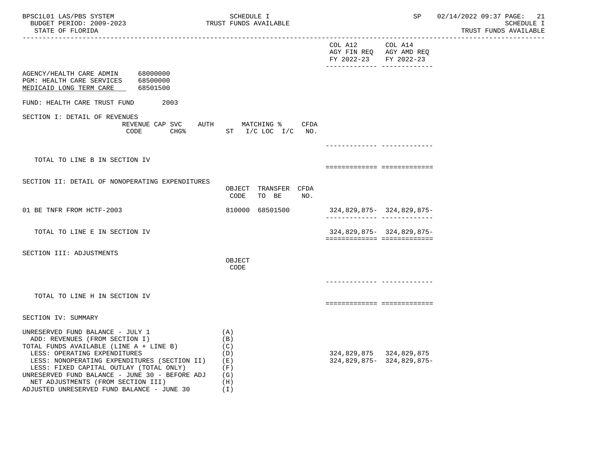| BPSC1L01 LAS/PBS SYSTEM<br>BUDGET PERIOD: 2009-2023<br>STATE OF FLORIDA                                                                                                                                                                                                                                                                                                            |                      | SCHEDULE I<br>TRUST FUNDS AVAILABLE                  | -------------------------------------    | SP and the set of the set of the set of the set of the set of the set of the set of the set of the set of the set of the set of the set of the set of the set of the set of the set of the set of the set of the set of the se | 02/14/2022 09:37 PAGE: 21<br><b>SCHEDULE I</b><br>TRUST FUNDS AVAILABLE |
|------------------------------------------------------------------------------------------------------------------------------------------------------------------------------------------------------------------------------------------------------------------------------------------------------------------------------------------------------------------------------------|----------------------|------------------------------------------------------|------------------------------------------|--------------------------------------------------------------------------------------------------------------------------------------------------------------------------------------------------------------------------------|-------------------------------------------------------------------------|
|                                                                                                                                                                                                                                                                                                                                                                                    |                      |                                                      | COL A12 COL A14<br>FY 2022-23 FY 2022-23 | AGY FIN REQ AGY AMD REQ                                                                                                                                                                                                        |                                                                         |
| AGENCY/HEALTH CARE ADMIN 68000000<br>PGM: HEALTH CARE SERVICES<br>MEDICAID LONG TERM CARE                                                                                                                                                                                                                                                                                          | 68500000<br>68501500 |                                                      |                                          |                                                                                                                                                                                                                                |                                                                         |
| FUND: HEALTH CARE TRUST FUND                                                                                                                                                                                                                                                                                                                                                       | 2003                 |                                                      |                                          |                                                                                                                                                                                                                                |                                                                         |
| SECTION I: DETAIL OF REVENUES<br>CODE                                                                                                                                                                                                                                                                                                                                              | REVENUE CAP SVC      | AUTH MATCHING % CFDA<br>CHG% ST I/C LOC I/C NO.      |                                          |                                                                                                                                                                                                                                |                                                                         |
|                                                                                                                                                                                                                                                                                                                                                                                    |                      |                                                      |                                          |                                                                                                                                                                                                                                |                                                                         |
| TOTAL TO LINE B IN SECTION IV                                                                                                                                                                                                                                                                                                                                                      |                      |                                                      |                                          | ===========================                                                                                                                                                                                                    |                                                                         |
| SECTION II: DETAIL OF NONOPERATING EXPENDITURES                                                                                                                                                                                                                                                                                                                                    |                      | OBJECT TRANSFER CFDA<br>TO BE<br>CODE<br>NO.         |                                          |                                                                                                                                                                                                                                |                                                                         |
| 01 BE TNFR FROM HCTF-2003                                                                                                                                                                                                                                                                                                                                                          |                      | 810000 68501500                                      |                                          | 324,829,875- 324,829,875-                                                                                                                                                                                                      |                                                                         |
| TOTAL TO LINE E IN SECTION IV                                                                                                                                                                                                                                                                                                                                                      |                      |                                                      |                                          | 324,829,875-324,829,875-<br>============================                                                                                                                                                                       |                                                                         |
| SECTION III: ADJUSTMENTS                                                                                                                                                                                                                                                                                                                                                           |                      | OBJECT<br>CODE                                       |                                          |                                                                                                                                                                                                                                |                                                                         |
|                                                                                                                                                                                                                                                                                                                                                                                    |                      |                                                      |                                          | ------------- -------------                                                                                                                                                                                                    |                                                                         |
| TOTAL TO LINE H IN SECTION IV                                                                                                                                                                                                                                                                                                                                                      |                      |                                                      |                                          | ===========================                                                                                                                                                                                                    |                                                                         |
| SECTION IV: SUMMARY                                                                                                                                                                                                                                                                                                                                                                |                      |                                                      |                                          |                                                                                                                                                                                                                                |                                                                         |
| UNRESERVED FUND BALANCE - JULY 1<br>ADD: REVENUES (FROM SECTION I)<br>TOTAL FUNDS AVAILABLE (LINE A + LINE B)<br>LESS: OPERATING EXPENDITURES<br>LESS: NONOPERATING EXPENDITURES (SECTION II) (E)<br>LESS: FIXED CAPITAL OUTLAY (TOTAL ONLY)<br>UNRESERVED FUND BALANCE - JUNE 30 - BEFORE ADJ<br>NET ADJUSTMENTS (FROM SECTION III)<br>ADJUSTED UNRESERVED FUND BALANCE - JUNE 30 |                      | (A)<br>(B)<br>(C)<br>(D)<br>(F)<br>(G)<br>(H)<br>(I) |                                          | 324,829,875 324,829,875<br>324,829,875-324,829,875-                                                                                                                                                                            |                                                                         |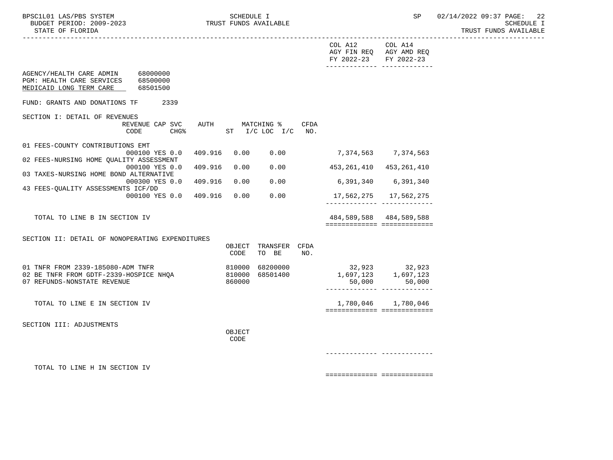| BPSC1L01 LAS/PBS SYSTEM<br>BUDGET PERIOD: 2009-2023<br>STATE OF FLORIDA                                              | TRUST FUNDS AVAILABLE | SCHEDULE I |                                  |      |                                      | SP                                   | 02/14/2022 09:37 PAGE: 22<br><b>SCHEDULE I</b><br>TRUST FUNDS AVAILABLE |
|----------------------------------------------------------------------------------------------------------------------|-----------------------|------------|----------------------------------|------|--------------------------------------|--------------------------------------|-------------------------------------------------------------------------|
|                                                                                                                      |                       |            |                                  |      | COL A12<br>AGY FIN REO<br>FY 2022-23 | COL A14<br>AGY AMD REQ<br>FY 2022-23 |                                                                         |
| 68000000<br>AGENCY/HEALTH CARE ADMIN<br>PGM: HEALTH CARE SERVICES<br>68500000<br>MEDICAID LONG TERM CARE<br>68501500 |                       |            |                                  |      |                                      |                                      |                                                                         |
| FUND: GRANTS AND DONATIONS TF<br>2339                                                                                |                       |            |                                  |      |                                      |                                      |                                                                         |
| SECTION I: DETAIL OF REVENUES<br>REVENUE CAP SVC AUTH<br>CHG%<br>CODE                                                |                       |            | MATCHING %<br>ST I/C LOC I/C NO. | CFDA |                                      |                                      |                                                                         |
| 01 FEES-COUNTY CONTRIBUTIONS EMT                                                                                     |                       |            |                                  |      |                                      |                                      |                                                                         |
| 000100 YES 0.0 409.916<br>02 FEES-NURSING HOME QUALITY ASSESSMENT                                                    |                       | 0.00       | 0.00                             |      |                                      | 7,374,563 7,374,563                  |                                                                         |
| 000100 YES 0.0<br>03 TAXES-NURSING HOME BOND ALTERNATIVE                                                             | 409.916               | 0.00       | 0.00                             |      | 453,261,410                          | 453,261,410                          |                                                                         |
| 000300 YES 0.0                                                                                                       | 409.916               | 0.00       | 0.00                             |      |                                      | 6,391,340 6,391,340                  |                                                                         |
| 43 FEES-QUALITY ASSESSMENTS ICF/DD<br>000100 YES 0.0 409.916                                                         |                       | 0.00       | 0.00                             |      | 17,562,275                           | 17,562,275                           |                                                                         |

TOTAL TO LINE B IN SECTION IV 484,589,588 484,589,588

 SECTION II: DETAIL OF NONOPERATING EXPENDITURES OBJECT TRANSFER CFDA CODE TO BE NO. 01 TNFR FROM 2339-185080-ADM TNFR 810000 68200000 32,923 32,923 02 BE TNFR FROM GDTF-2339-HOSPICE NHQA 810000 68501400<br>07 REFUNDS-NONSTATE REVENUE 1,697,123 1,69000 1,697,123 1,697,123<br>50,000 50,000 ------------- ------------- TOTAL TO LINE E IN SECTION IV 1,780,046 1,780,046 ============= ============= SECTION III: ADJUSTMENTS **OBJECT** 

**CODE** 

TOTAL TO LINE H IN SECTION IV

============= =============

------------- -------------

============= =============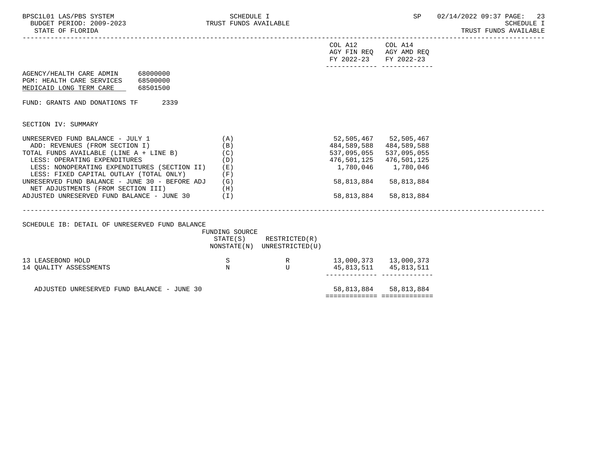| BPSC1L01 LAS/PBS SYSTEM<br>TRUST FUNDS AVAILABLE<br>BUDGET PERIOD: 2009-2023<br>STATE OF FLORIDA                                             | SCHEDULE I                 |                                              |                                                          | SP                                         | 02/14/2022 09:37 PAGE: 23<br><b>SCHEDULE I</b><br>TRUST FUNDS AVAILABLE |
|----------------------------------------------------------------------------------------------------------------------------------------------|----------------------------|----------------------------------------------|----------------------------------------------------------|--------------------------------------------|-------------------------------------------------------------------------|
|                                                                                                                                              |                            |                                              | COL A12 COL A14<br>AGY FIN REQ AGY AMD REQ<br>FY 2022-23 | FY 2022-23<br>------------- -------------- |                                                                         |
| AGENCY/HEALTH CARE ADMIN 68000000<br>PGM: HEALTH CARE SERVICES 68500000<br>MEDICAID LONG TERM CARE<br>68501500                               |                            |                                              |                                                          |                                            |                                                                         |
| FUND: GRANTS AND DONATIONS TF<br>2339                                                                                                        |                            |                                              |                                                          |                                            |                                                                         |
| SECTION IV: SUMMARY                                                                                                                          |                            |                                              |                                                          |                                            |                                                                         |
| UNRESERVED FUND BALANCE - JULY 1<br>ADD: REVENUES (FROM SECTION I)<br>TOTAL FUNDS AVAILABLE (LINE A + LINE B)                                | (A)<br>(B)<br>(C)          |                                              | 52,505,467 52,505,467<br>484,589,588<br>537,095,055      | 484,589,588<br>537,095,055                 |                                                                         |
| LESS: OPERATING EXPENDITURES<br>LESS: NONOPERATING EXPENDITURES (SECTION II)<br>LESS: FIXED CAPITAL OUTLAY (TOTAL ONLY)                      | (D)<br>( E )<br>(F)        |                                              | 476,501,125<br>1,780,046                                 | 476,501,125<br>1,780,046                   |                                                                         |
| UNRESERVED FUND BALANCE - JUNE 30 - BEFORE ADJ $(G)$<br>NET ADJUSTMENTS (FROM SECTION III)<br>ADJUSTED UNRESERVED FUND BALANCE - JUNE 30 (I) | (H)                        |                                              | 58,813,884<br>58,813,884                                 | 58,813,884<br>58,813,884                   |                                                                         |
|                                                                                                                                              |                            |                                              |                                                          |                                            |                                                                         |
| SCHEDULE IB: DETAIL OF UNRESERVED FUND BALANCE                                                                                               | FUNDING SOURCE<br>STATE(S) | RESTRICTED(R)<br>NONSTATE(N) UNRESTRICTED(U) |                                                          |                                            |                                                                         |
| 13 LEASEBOND HOLD<br>14 OUALITY ASSESSMENTS                                                                                                  | S<br>$_{\rm N}$            | R<br>U                                       | 13,000,373   13,000,373                                  | 45,813,511 45,813,511                      |                                                                         |
| ADJUSTED UNRESERVED FUND BALANCE - JUNE 30                                                                                                   |                            |                                              |                                                          | 58,813,884 58,813,884                      |                                                                         |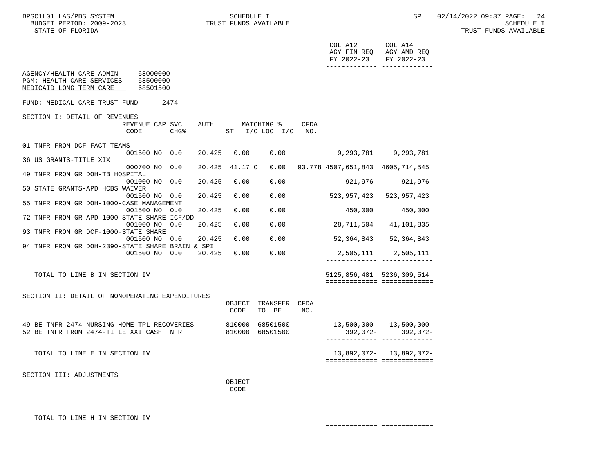|                                                                                                                         |                                       | COL A12<br>COL A14<br>AGY FIN REQ AGY AMD REQ<br>FY 2022-23<br>FY 2022-23<br>-------------- -------------- |  |
|-------------------------------------------------------------------------------------------------------------------------|---------------------------------------|------------------------------------------------------------------------------------------------------------|--|
| AGENCY/HEALTH CARE ADMIN 68000000<br>PGM: HEALTH CARE SERVICES<br>68500000<br>MEDICAID LONG TERM CARE<br>68501500       |                                       |                                                                                                            |  |
| FUND: MEDICAL CARE TRUST FUND<br>2474                                                                                   |                                       |                                                                                                            |  |
| SECTION I: DETAIL OF REVENUES                                                                                           |                                       |                                                                                                            |  |
| REVENUE CAP SVC<br>CODE<br>CHG <sup>8</sup>                                                                             | AUTH MATCHING %<br>ST I/C LOC I/C NO. | CFDA                                                                                                       |  |
| 01 TNFR FROM DCF FACT TEAMS<br>001500 NO 0.0                                                                            | 20.425 0.00 0.00                      | 9,293,781 9,293,781                                                                                        |  |
| 36 US GRANTS-TITLE XIX                                                                                                  |                                       |                                                                                                            |  |
| 49 TNFR FROM GR DOH-TB HOSPITAL                                                                                         |                                       | 000700 NO 0.0 20.425 41.17 C 0.00 93.778 4507,651,843 4605,714,545                                         |  |
| 001000 NO 0.0<br>20.425                                                                                                 | 0.00<br>0.00                          | 921,976 921,976                                                                                            |  |
| 50 STATE GRANTS-APD HCBS WAIVER<br>20.425<br>001500 NO 0.0                                                              | 0.00<br>0.00                          | 523,957,423<br>523,957,423                                                                                 |  |
| 55 TNFR FROM GR DOH-1000-CASE MANAGEMENT                                                                                |                                       |                                                                                                            |  |
| 20.425<br>001500 NO 0.0                                                                                                 | 0.00<br>0.00                          | 450,000<br>450,000                                                                                         |  |
| 72 TNFR FROM GR APD-1000-STATE SHARE-ICF/DD<br>20.425<br>001000 NO 0.0                                                  | 0.00<br>0.00                          | 28,711,504<br>41,101,835                                                                                   |  |
| 93 TNFR FROM GR DCF-1000-STATE SHARE                                                                                    |                                       |                                                                                                            |  |
| 20.425<br>001500 NO 0.0<br>94 TNFR FROM GR DOH-2390-STATE SHARE BRAIN & SPI                                             | 0.00<br>0.00                          | 52,364,843<br>52,364,843                                                                                   |  |
| 001500 NO 0.0 20.425 0.00                                                                                               | 0.00                                  | 2,505,111 2,505,111<br>_______________________________                                                     |  |
| TOTAL TO LINE B IN SECTION IV                                                                                           |                                       | 5125,856,481 5236,309,514                                                                                  |  |
|                                                                                                                         |                                       | ============================                                                                               |  |
| SECTION II: DETAIL OF NONOPERATING EXPENDITURES                                                                         | OBJECT TRANSFER CFDA                  |                                                                                                            |  |
|                                                                                                                         | TO BE<br>CODE                         | NO.                                                                                                        |  |
| 49 BE TNFR 2474-NURSING HOME TPL RECOVERIES 810000 68501500<br>52 BE TNFR FROM 2474-TITLE XXI CASH TNFR 810000 68501500 |                                       | 13,500,000- 13,500,000-                                                                                    |  |
|                                                                                                                         |                                       | 392,072-392,072-<br>_________________________________                                                      |  |
| TOTAL TO LINE E IN SECTION IV                                                                                           |                                       | 13,892,072- 13,892,072-                                                                                    |  |
|                                                                                                                         |                                       | ============================                                                                               |  |
| SECTION III: ADJUSTMENTS                                                                                                |                                       |                                                                                                            |  |
|                                                                                                                         | OBJECT                                |                                                                                                            |  |
|                                                                                                                         | CODE                                  |                                                                                                            |  |
|                                                                                                                         |                                       |                                                                                                            |  |
|                                                                                                                         |                                       |                                                                                                            |  |

TOTAL TO LINE H IN SECTION IV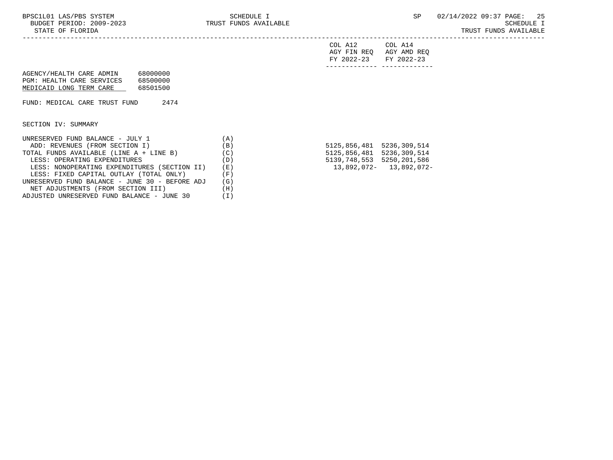COL A12 COL A14 AGY FIN REQ AGY AMD REQ FY 2022-23 FY 2022-23 ------------- -------------

| AGENCY/HEALTH CARE ADMIN  | 68000000 |
|---------------------------|----------|
| PGM: HEALTH CARE SERVICES | 68500000 |
| MEDICAID LONG TERM CARE   | 68501500 |

FUND: MEDICAL CARE TRUST FUND 2474

SECTION IV: SUMMARY

| UNRESERVED FUND BALANCE - JULY 1               | A'  |                           |                         |
|------------------------------------------------|-----|---------------------------|-------------------------|
| ADD: REVENUES (FROM SECTION I)                 | (B) | 5125,856,481 5236,309,514 |                         |
| TOTAL FUNDS AVAILABLE (LINE A + LINE B)        | (C) | 5125,856,481 5236,309,514 |                         |
| LESS: OPERATING EXPENDITURES                   | (D) | 5139,748,553 5250,201,586 |                         |
| LESS: NONOPERATING EXPENDITURES (SECTION II)   | (E) |                           | 13,892,072- 13,892,072- |
| LESS: FIXED CAPITAL OUTLAY (TOTAL ONLY)        | Έ)  |                           |                         |
| UNRESERVED FUND BALANCE - JUNE 30 - BEFORE ADJ | (G) |                           |                         |
| NET ADJUSTMENTS (FROM SECTION III)             | (H) |                           |                         |
| ADJUSTED UNRESERVED FUND BALANCE - JUNE 30     |     |                           |                         |

| 5125,856,481 | 5236,309,514 |
|--------------|--------------|
| 5125,856,481 | 5236,309,514 |
| 5139,748,553 | 5250,201,586 |
| 13,892,072-  | 13,892,072-  |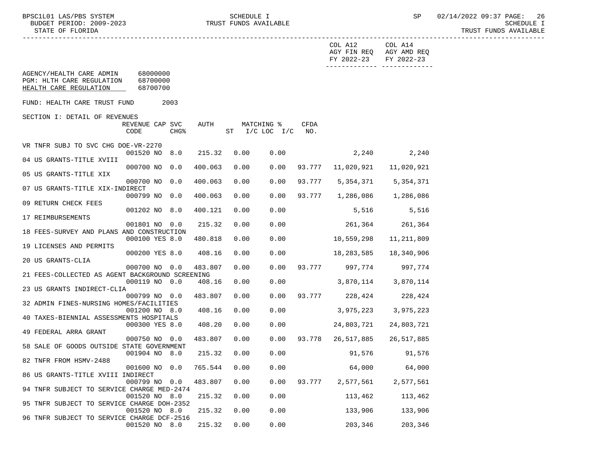| COL A12<br>COL A14<br>AGY FIN REQ AGY AMD REQ<br>FY 2022-23<br>FY 2022-23<br>AGENCY/HEALTH CARE ADMIN<br>68000000<br>PGM: HLTH CARE REGULATION<br>68700000<br>HEALTH CARE REGULATION<br>68700700<br>FUND: HEALTH CARE TRUST FUND<br>2003<br>SECTION I: DETAIL OF REVENUES<br>AUTH<br>CFDA<br>REVENUE CAP SVC<br>MATCHING %<br>CHG%<br>ST I/C LOC I/C NO.<br>CODE<br>VR TNFR SUBJ TO SVC CHG DOE-VR-2270<br>2,240 2,240<br>001520 NO 8.0<br>215.32<br>0.00<br>0.00<br>04 US GRANTS-TITLE XVIII<br>000700 NO 0.0<br>0.00<br>93.777 11,020,921<br>400.063<br>0.00<br>11,020,921<br>05 US GRANTS-TITLE XIX<br>93.777 5,354,371 5,354,371<br>000700 NO 0.0<br>400.063<br>0.00<br>0.00<br>07 US GRANTS-TITLE XIX-INDIRECT<br>000799 NO 0.0<br>400.063<br>0.00<br>0.00<br>93.777 1,286,086 1,286,086<br>09 RETURN CHECK FEES<br>001202 NO 8.0<br>0.00<br>5,516<br>5,516<br>400.121<br>0.00<br>17 REIMBURSEMENTS |
|----------------------------------------------------------------------------------------------------------------------------------------------------------------------------------------------------------------------------------------------------------------------------------------------------------------------------------------------------------------------------------------------------------------------------------------------------------------------------------------------------------------------------------------------------------------------------------------------------------------------------------------------------------------------------------------------------------------------------------------------------------------------------------------------------------------------------------------------------------------------------------------------------------|
|                                                                                                                                                                                                                                                                                                                                                                                                                                                                                                                                                                                                                                                                                                                                                                                                                                                                                                          |
|                                                                                                                                                                                                                                                                                                                                                                                                                                                                                                                                                                                                                                                                                                                                                                                                                                                                                                          |
|                                                                                                                                                                                                                                                                                                                                                                                                                                                                                                                                                                                                                                                                                                                                                                                                                                                                                                          |
|                                                                                                                                                                                                                                                                                                                                                                                                                                                                                                                                                                                                                                                                                                                                                                                                                                                                                                          |
|                                                                                                                                                                                                                                                                                                                                                                                                                                                                                                                                                                                                                                                                                                                                                                                                                                                                                                          |
|                                                                                                                                                                                                                                                                                                                                                                                                                                                                                                                                                                                                                                                                                                                                                                                                                                                                                                          |
|                                                                                                                                                                                                                                                                                                                                                                                                                                                                                                                                                                                                                                                                                                                                                                                                                                                                                                          |
|                                                                                                                                                                                                                                                                                                                                                                                                                                                                                                                                                                                                                                                                                                                                                                                                                                                                                                          |
|                                                                                                                                                                                                                                                                                                                                                                                                                                                                                                                                                                                                                                                                                                                                                                                                                                                                                                          |
|                                                                                                                                                                                                                                                                                                                                                                                                                                                                                                                                                                                                                                                                                                                                                                                                                                                                                                          |
|                                                                                                                                                                                                                                                                                                                                                                                                                                                                                                                                                                                                                                                                                                                                                                                                                                                                                                          |
| 215.32                                                                                                                                                                                                                                                                                                                                                                                                                                                                                                                                                                                                                                                                                                                                                                                                                                                                                                   |
| 261, 364 261, 364<br>001801 NO 0.0<br>0.00<br>0.00<br>18 FEES-SURVEY AND PLANS AND CONSTRUCTION                                                                                                                                                                                                                                                                                                                                                                                                                                                                                                                                                                                                                                                                                                                                                                                                          |
| 10,559,298<br>000100 YES 8.0<br>0.00<br>0.00<br>480.818<br>11,211,809<br>19 LICENSES AND PERMITS                                                                                                                                                                                                                                                                                                                                                                                                                                                                                                                                                                                                                                                                                                                                                                                                         |
| 000200 YES 8.0<br>408.16<br>0.00<br>0.00<br>18,283,585<br>18,340,906                                                                                                                                                                                                                                                                                                                                                                                                                                                                                                                                                                                                                                                                                                                                                                                                                                     |
| 20 US GRANTS-CLIA                                                                                                                                                                                                                                                                                                                                                                                                                                                                                                                                                                                                                                                                                                                                                                                                                                                                                        |
| 0.00<br>0.00<br>93.777 997,774 997,774<br>000700 NO 0.0<br>483.807<br>21 FEES-COLLECTED AS AGENT BACKGROUND SCREENING                                                                                                                                                                                                                                                                                                                                                                                                                                                                                                                                                                                                                                                                                                                                                                                    |
| 0.00<br>3,870,114 3,870,114<br>000119 NO 0.0<br>408.16<br>0.00                                                                                                                                                                                                                                                                                                                                                                                                                                                                                                                                                                                                                                                                                                                                                                                                                                           |
| 23 US GRANTS INDIRECT-CLIA                                                                                                                                                                                                                                                                                                                                                                                                                                                                                                                                                                                                                                                                                                                                                                                                                                                                               |
| 93.777 228,424 228,424<br>483.807<br>0.00<br>0.00<br>000799 NO 0.0<br>32 ADMIN FINES-NURSING HOMES/FACILITIES                                                                                                                                                                                                                                                                                                                                                                                                                                                                                                                                                                                                                                                                                                                                                                                            |
| 0.00<br>3,975,223 3,975,223<br>001200 NO 8.0<br>408.16<br>0.00                                                                                                                                                                                                                                                                                                                                                                                                                                                                                                                                                                                                                                                                                                                                                                                                                                           |
| 40 TAXES-BIENNIAL ASSESSMENTS HOSPITALS                                                                                                                                                                                                                                                                                                                                                                                                                                                                                                                                                                                                                                                                                                                                                                                                                                                                  |
| 000300 YES 8.0<br>408.20<br>0.00<br>0.00<br>24,803,721<br>24,803,721<br>49 FEDERAL ARRA GRANT                                                                                                                                                                                                                                                                                                                                                                                                                                                                                                                                                                                                                                                                                                                                                                                                            |
| $0.00$ 93.778 26,517,885<br>26,517,885<br>000750 NO 0.0<br>483.807<br>0.00<br>58 SALE OF GOODS OUTSIDE STATE GOVERNMENT                                                                                                                                                                                                                                                                                                                                                                                                                                                                                                                                                                                                                                                                                                                                                                                  |
| 0.00<br>001904 NO 8.0<br>215.32<br>0.00<br>91,576<br>91,576                                                                                                                                                                                                                                                                                                                                                                                                                                                                                                                                                                                                                                                                                                                                                                                                                                              |
| 82 TNFR FROM HSMV-2488                                                                                                                                                                                                                                                                                                                                                                                                                                                                                                                                                                                                                                                                                                                                                                                                                                                                                   |
| 001600 NO 0.0 765.544 0.00<br>0.00<br>64,000<br>64,000<br>86 US GRANTS-TITLE XVIII INDIRECT                                                                                                                                                                                                                                                                                                                                                                                                                                                                                                                                                                                                                                                                                                                                                                                                              |
| 000799 NO 0.0<br>483.807<br>0.00<br>0.00<br>93.777<br>2,577,561<br>2,577,561                                                                                                                                                                                                                                                                                                                                                                                                                                                                                                                                                                                                                                                                                                                                                                                                                             |
| 94 TNFR SUBJECT TO SERVICE CHARGE MED-2474<br>0.00<br>001520 NO 8.0<br>215.32<br>0.00<br>113,462<br>113,462                                                                                                                                                                                                                                                                                                                                                                                                                                                                                                                                                                                                                                                                                                                                                                                              |
| 95 TNFR SUBJECT TO SERVICE CHARGE DOH-2352                                                                                                                                                                                                                                                                                                                                                                                                                                                                                                                                                                                                                                                                                                                                                                                                                                                               |
| 001520 NO 8.0<br>0.00<br>0.00<br>133,906<br>133,906<br>215.32                                                                                                                                                                                                                                                                                                                                                                                                                                                                                                                                                                                                                                                                                                                                                                                                                                            |
| 96 TNFR SUBJECT TO SERVICE CHARGE DCF-2516<br>203,346<br>001520 NO 8.0<br>215.32<br>0.00<br>0.00<br>203,346                                                                                                                                                                                                                                                                                                                                                                                                                                                                                                                                                                                                                                                                                                                                                                                              |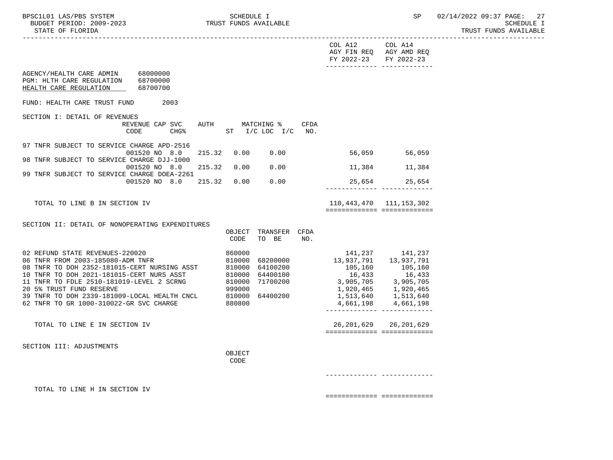|                                                                                                                                                                                                                           |                                                                    |                            |                               |      |                                                             | ------------------------------------- |  |
|---------------------------------------------------------------------------------------------------------------------------------------------------------------------------------------------------------------------------|--------------------------------------------------------------------|----------------------------|-------------------------------|------|-------------------------------------------------------------|---------------------------------------|--|
|                                                                                                                                                                                                                           |                                                                    |                            |                               |      | COL A12<br>AGY FIN REQ AGY AMD REQ<br>FY 2022-23 FY 2022-23 | COL A14                               |  |
| AGENCY/HEALTH CARE ADMIN 68000000<br>PGM: HLTH CARE REGULATION 68700000<br>HEALTH CARE REGULATION                                                                                                                         | 68700700                                                           |                            |                               |      | -------------- --------------                               |                                       |  |
| FUND: HEALTH CARE TRUST FUND                                                                                                                                                                                              | 2003                                                               |                            |                               |      |                                                             |                                       |  |
| SECTION I: DETAIL OF REVENUES                                                                                                                                                                                             |                                                                    |                            |                               |      |                                                             |                                       |  |
|                                                                                                                                                                                                                           | REVENUE CAP SVC AUTH MATCHING %<br>CHG% ST I/C LOC I/C NO.<br>CODE |                            |                               | CFDA |                                                             |                                       |  |
| 97 TNFR SUBJECT TO SERVICE CHARGE APD-2516                                                                                                                                                                                | 001520 NO 8.0                                                      | 215.32 0.00                | 0.00                          |      | 56,059 56,059                                               |                                       |  |
| 98 TNFR SUBJECT TO SERVICE CHARGE DJJ-1000                                                                                                                                                                                |                                                                    |                            |                               |      |                                                             |                                       |  |
| 99 TNFR SUBJECT TO SERVICE CHARGE DOEA-2261                                                                                                                                                                               | 001520 NO 8.0                                                      |                            | 215.32  0.00  0.00            |      |                                                             | 11,384 11,384                         |  |
|                                                                                                                                                                                                                           | 001520 NO 8.0 215.32                                               |                            | 0.00 0.00                     |      |                                                             | 25,654 25,654                         |  |
| TOTAL TO LINE B IN SECTION IV                                                                                                                                                                                             |                                                                    |                            |                               |      | 110,443,470 111,153,302<br>===========================      |                                       |  |
| SECTION II: DETAIL OF NONOPERATING EXPENDITURES                                                                                                                                                                           |                                                                    |                            |                               |      |                                                             |                                       |  |
|                                                                                                                                                                                                                           |                                                                    | CODE                       | OBJECT TRANSFER CFDA<br>TO BE | NO.  |                                                             |                                       |  |
| 02 REFUND STATE REVENUES-220020<br>06 TNFR FROM 2003-185080-ADM TNFR                                                                                                                                                      |                                                                    | 860000<br>810000<br>810000 | 68200000                      |      |                                                             | 141, 237 141, 237                     |  |
| 08 TNFR TO DOH 2352-181015-CERT NURSING ASST                                                                                                                                                                              |                                                                    |                            | 64100200                      |      | 105,160<br>16,433                                           | 105,160                               |  |
| 10 TNFR TO DOH 2021-181015-CERT NURS ASST 810000 64400100<br>11 TNFR TO DOH 2021-181015-CERT NURS ASST 810000 64400100<br>20 5% TRUST FUND RESERVE 999000<br>39 TNFR TO DOH 2339-181009-LOCAL HEALTH CNCL 810000 64400200 |                                                                    |                            |                               |      | 16,433<br>3,905,705 3,905,705                               |                                       |  |
|                                                                                                                                                                                                                           |                                                                    |                            |                               |      | 1,920,465 1,920,465                                         | 1,513,640 1,513,640                   |  |
| 62 TNFR TO GR 1000-310022-GR SVC CHARGE                                                                                                                                                                                   |                                                                    | 880800                     |                               |      | 4,661,198                                                   | 4,661,198                             |  |
| TOTAL TO LINE E IN SECTION IV                                                                                                                                                                                             |                                                                    |                            |                               |      |                                                             | 26, 201, 629 26, 201, 629             |  |
|                                                                                                                                                                                                                           |                                                                    |                            |                               |      | ============================                                |                                       |  |
| SECTION III: ADJUSTMENTS                                                                                                                                                                                                  |                                                                    | OBJECT                     |                               |      |                                                             |                                       |  |
|                                                                                                                                                                                                                           |                                                                    | CODE                       |                               |      |                                                             |                                       |  |
|                                                                                                                                                                                                                           |                                                                    |                            |                               |      |                                                             |                                       |  |
| TOTAL TO LINE H IN SECTION IV                                                                                                                                                                                             |                                                                    |                            |                               |      | ===========================                                 |                                       |  |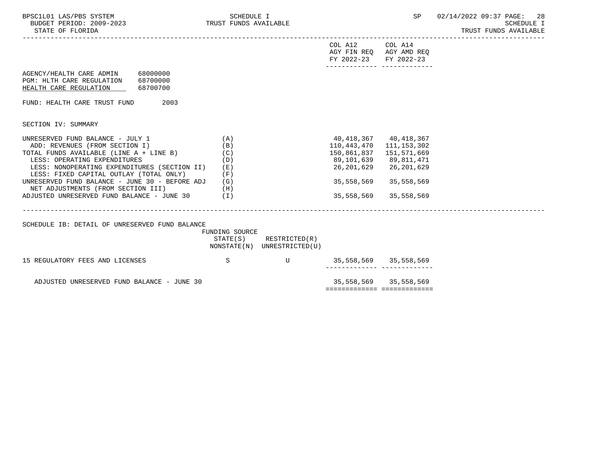| BPSC1L01 LAS/PBS SYSTEM<br>BUDGET PERIOD: 2009-2023 TRUST FUNDS AVAILABLE<br>STATE OF FLORIDA              | SCHEDULE I     |                                                            |                                                                     |                       | SP 02/14/2022 09:37 PAGE: 28<br>SCHEDULE I<br>TRUST FUNDS AVAILABLE |
|------------------------------------------------------------------------------------------------------------|----------------|------------------------------------------------------------|---------------------------------------------------------------------|-----------------------|---------------------------------------------------------------------|
|                                                                                                            |                |                                                            | COL A12 COL A14<br>AGY FIN REQ AGY AMD REQ<br>FY 2022-23 FY 2022-23 |                       |                                                                     |
| AGENCY/HEALTH CARE ADMIN 68000000<br>PGM: HLTH CARE REGULATION 68700000<br>HEALTH CARE REGULATION 68700700 |                |                                                            |                                                                     |                       |                                                                     |
| FUND: HEALTH CARE TRUST FUND<br>2003                                                                       |                |                                                            |                                                                     |                       |                                                                     |
| SECTION IV: SUMMARY                                                                                        |                |                                                            |                                                                     |                       |                                                                     |
| UNRESERVED FUND BALANCE - JULY 1<br>ADD: REVENUES (FROM SECTION I)                                         | (A)<br>(B)     |                                                            | 40,418,367   40,418,367<br>110, 443, 470 111, 153, 302              |                       |                                                                     |
| TOTAL FUNDS AVAILABLE (LINE A + LINE B)<br>LESS: OPERATING EXPENDITURES                                    | (C)<br>(D)     |                                                            | 150,861,837<br>89,101,639 89,811,471                                | 151,571,669           |                                                                     |
| LESS: NONOPERATING EXPENDITURES (SECTION II) (E)<br>LESS: FIXED CAPITAL OUTLAY (TOTAL ONLY)                | (F)            |                                                            | 26,201,629                                                          | 26,201,629            |                                                                     |
| UNRESERVED FUND BALANCE - JUNE 30 - BEFORE ADJ $(G)$<br>NET ADJUSTMENTS (FROM SECTION III)                 |                |                                                            | 35,558,569                                                          | 35,558,569            |                                                                     |
| ADJUSTED UNRESERVED FUND BALANCE - JUNE 30 $(1)$                                                           | (H)            |                                                            | 35,558,569                                                          | 35,558,569            |                                                                     |
| SCHEDULE IB: DETAIL OF UNRESERVED FUND BALANCE                                                             | FUNDING SOURCE |                                                            |                                                                     |                       |                                                                     |
|                                                                                                            |                | $STATE(S)$ RESTRICTED $(R)$<br>NONSTATE(N) UNRESTRICTED(U) |                                                                     |                       |                                                                     |
| 15 REGULATORY FEES AND LICENSES                                                                            | S              | U                                                          | 35,558,569 35,558,569<br>--------- --                               |                       |                                                                     |
| ADJUSTED UNRESERVED FUND BALANCE - JUNE 30                                                                 |                |                                                            | ============================                                        | 35,558,569 35,558,569 |                                                                     |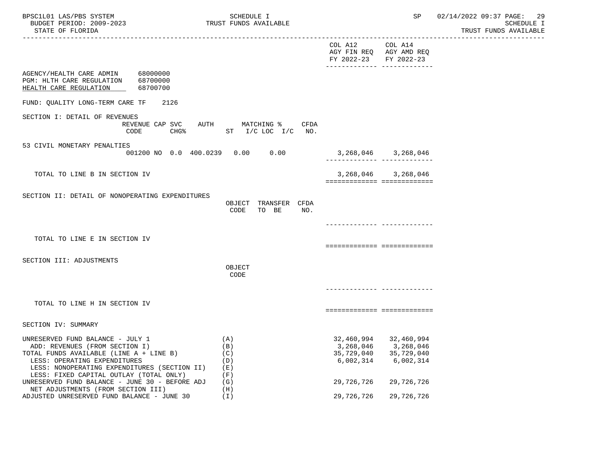| BPSC1L01 LAS/PBS SYSTEM<br>BUDGET PERIOD: 2009-2023<br>STATE OF FLORIDA<br>-----------------------                                                                                                                                       | SCHEDULE I<br>TRUST FUNDS AVAILABLE           |                                          | SP                                                                      | 02/14/2022 09:37 PAGE:<br>-29<br>SCHEDULE I<br>TRUST FUNDS AVAILABLE |
|------------------------------------------------------------------------------------------------------------------------------------------------------------------------------------------------------------------------------------------|-----------------------------------------------|------------------------------------------|-------------------------------------------------------------------------|----------------------------------------------------------------------|
|                                                                                                                                                                                                                                          |                                               | COL A12 COL A14<br>FY 2022-23 FY 2022-23 | AGY FIN REQ AGY AMD REQ<br>------------- -------------                  |                                                                      |
| AGENCY/HEALTH CARE ADMIN 68000000<br>68700000<br>PGM: HLTH CARE REGULATION<br>HEALTH CARE REGULATION<br>68700700                                                                                                                         |                                               |                                          |                                                                         |                                                                      |
| FUND: OUALITY LONG-TERM CARE TF<br>2126                                                                                                                                                                                                  |                                               |                                          |                                                                         |                                                                      |
| SECTION I: DETAIL OF REVENUES<br>REVENUE CAP SVC<br>$CHG$ %<br>CODE                                                                                                                                                                      | AUTH MATCHING %<br>CFDA<br>ST I/C LOC I/C NO. |                                          |                                                                         |                                                                      |
| 53 CIVIL MONETARY PENALTIES<br>001200 NO 0.0 400.0239 0.00 0.00                                                                                                                                                                          |                                               |                                          | 3, 268, 046 3, 268, 046                                                 |                                                                      |
| TOTAL TO LINE B IN SECTION IV                                                                                                                                                                                                            |                                               | ============================             | 3, 268, 046 3, 268, 046                                                 |                                                                      |
| SECTION II: DETAIL OF NONOPERATING EXPENDITURES                                                                                                                                                                                          | OBJECT TRANSFER CFDA<br>CODE<br>TO BE<br>NO.  |                                          |                                                                         |                                                                      |
| TOTAL TO LINE E IN SECTION IV                                                                                                                                                                                                            |                                               |                                          |                                                                         |                                                                      |
| SECTION III: ADJUSTMENTS                                                                                                                                                                                                                 | OBJECT                                        | ===========================              |                                                                         |                                                                      |
|                                                                                                                                                                                                                                          | CODE                                          |                                          | ____________ ___________                                                |                                                                      |
| TOTAL TO LINE H IN SECTION IV                                                                                                                                                                                                            |                                               | ===========================              |                                                                         |                                                                      |
| SECTION IV: SUMMARY                                                                                                                                                                                                                      |                                               |                                          |                                                                         |                                                                      |
| UNRESERVED FUND BALANCE - JULY 1<br>ADD: REVENUES (FROM SECTION I)<br>TOTAL FUNDS AVAILABLE (LINE A + LINE B)<br>LESS: OPERATING EXPENDITURES<br>LESS: NONOPERATING EXPENDITURES (SECTION II)<br>LESS: FIXED CAPITAL OUTLAY (TOTAL ONLY) | (A)<br>(B)<br>(C)<br>(D)<br>( E )<br>(F)      | 35,729,040<br>6,002,314                  | 32,460,994 32,460,994<br>3,268,046 3,268,046<br>35,729,040<br>6,002,314 |                                                                      |
| UNRESERVED FUND BALANCE - JUNE 30 - BEFORE ADJ<br>NET ADJUSTMENTS (FROM SECTION III)                                                                                                                                                     | (G)<br>(H)                                    | 29,726,726                               | 29,726,726                                                              |                                                                      |
| ADJUSTED UNRESERVED FUND BALANCE - JUNE 30                                                                                                                                                                                               | (T)                                           | 29,726,726                               | 29,726,726                                                              |                                                                      |